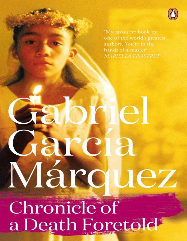

'My favourite book by one of the world's greatest authors. You're in the hands of a master' **MARIELLA FROSTRUP** 

Chronicle of a Death Foretold

Márque

sabriel

García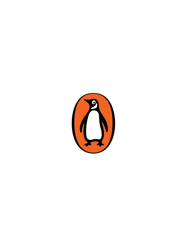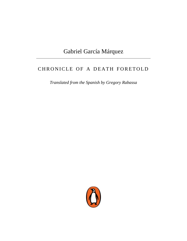# Gabriel García Márquez

## CHRONICLE OF A DEATH FORETOLD

*Translated from the Spanish by Gregory Rabassa*

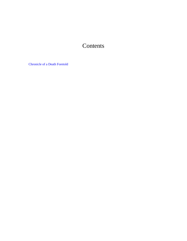## **Contents**

[Chronicle](#page-8-0) of a Death Foretold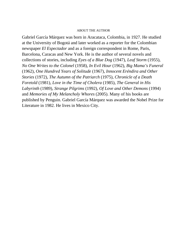#### ABOUT THE AUTHOR

Gabriel García Márquez was born in Aracataca, Colombia, in 1927. He studied at the University of Bogotá and later worked as a reporter for the Colombian newspaper *El Espectador* and as a foreign correspondent in Rome, Paris, Barcelona, Caracas and New York. He is the author of several novels and collections of stories, including *Eyes of a Blue Dog* (1947), *Leaf Storm* (1955), *No One Writes to the Colonel* (1958), *In Evil Hour* (1962), *Big Mama's Funeral* (1962), *One Hundred Years of Solitude* (1967), *Innocent Eréndira and Other Stories* (1972), *The Autumn of the Patriarch* (1975), *Chronicle of a Death Foretold* (1981), *Love in the Time of Cholera* (1985), *The General in His Labyrinth* (1989), *Strange Pilgrims* (1992), *Of Love and Other Demons* (1994) and *Memories of My Melancholy Whores* (2005). Many of his books are published by Penguin. Gabriel García Márquez was awarded the Nobel Prize for Literature in 1982. He lives in Mexico City.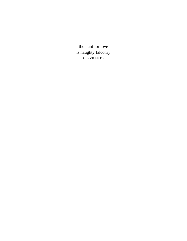the hunt for love is haughty falconry GIL VICENTE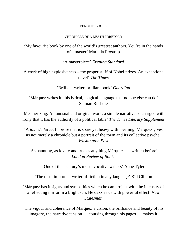### PENGUIN BOOKS

### CHRONICLE OF A DEATH FORETOLD

'My favourite book by one of the world's greatest authors. You're in the hands of a master' Mariella Frostrup

'A masterpiece' *Evening Standard*

'A work of high explosiveness – the proper stuff of Nobel prizes. An exceptional novel' *The Times*

'Brilliant writer, brilliant book' *Guardian*

'Márquez writes in this lyrical, magical language that no one else can do' Salman Rushdie

'Mesmerizing. An unusual and original work: a simple narrative so charged with irony that it has the authority of a political fable' *The Times Literary Supplement*

'A *tour de force*. In prose that is spare yet heavy with meaning, Márquez gives us not merely a chronicle but a portrait of the town and its collective psyche' *Washington Post*

'As haunting, as lovely and true as anything Márquez has written before' *London Review of Books*

'One of this century's most evocative writers' Anne Tyler

'The most important writer of fiction in any language' Bill Clinton

'Márquez has insights and sympathies which he can project with the intensity of a reflecting mirror in a bright sun. He dazzles us with powerful effect' *New Statesman*

'The vigour and coherence of Márquez's vision, the brilliance and beauty of his imagery, the narrative tension … coursing through his pages … makes it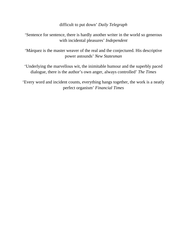difficult to put down' *Daily Telegraph*

'Sentence for sentence, there is hardly another writer in the world so generous with incidental pleasures' *Independent*

'Márquez is the master weaver of the real and the conjectured. His descriptive power astounds' *New Statesman*

'Underlying the marvellous wit, the inimitable humour and the superbly paced dialogue, there is the author's own anger, always controlled' *The Times*

'Every word and incident counts, everything hangs together, the work is a neatly perfect organism' *Financial Times*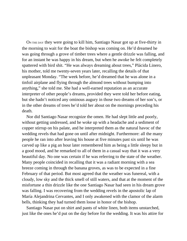<span id="page-8-0"></span>ON THE DAY they were going to kill him, Santiago Nasar got up at five-thirty in the morning to wait for the boat the bishop was coming on. He'd dreamed he was going through a grove of timber trees where a gentle drizzle was falling, and for an instant he was happy in his dream, but when he awoke he felt completely spattered with bird shit. "He was always dreaming about trees," Plácida Linero, his mother, told me twenty-seven years later, recalling the details of that unpleasant Monday. "The week before, he'd dreamed that he was alone in a tinfoil airplane and flying through the almond trees without bumping into anything," she told me. She had a well-earned reputation as an accurate interpreter of other people's dreams, provided they were told her before eating, but she hadn't noticed any ominous augury in those two dreams of her son's, or in the other dreams of trees he'd told her about on the mornings preceding his death.

Nor did Santiago Nasar recognize the omen. He had slept little and poorly, without getting undressed, and he woke up with a headache and a sediment of copper stirrup on his palate, and he interpreted them as the natural havoc of the wedding revels that had gone on until after midnight. Furthermore: all the many people he ran into after leaving his house at five minutes past six until he was carved up like a pig an hour later remembered him as being a little sleepy but in a good mood, and he remarked to all of them in a casual way that it was a very beautiful day. No one was certain if he was referring to the state of the weather. Many people coincided in recalling that it was a radiant morning with a sea breeze coming in through the banana groves, as was to be expected in a fine February of that period. But most agreed that the weather was funereal, with a cloudy, low sky and the thick smell of still waters, and that at the moment of the misfortune a thin drizzle like the one Santiago Nasar had seen in his dream grove was falling. I was recovering from the wedding revels in the apostolic lap of María Alejandrina Cervantes, and I only awakened with the clamor of the alarm bells, thinking they had turned them loose in honor of the bishop.

Santiago Nasar put on shirt and pants of white linen, both items unstarched, just like the ones he'd put on the day before for the wedding. It was his attire for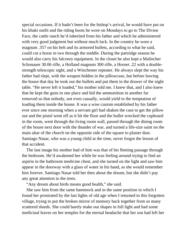special occasions. If it hadn't been for the bishop's arrival, he would have put on his khaki outfit and the riding boots he wore on Mondays to go to The Divine Face, the cattle ranch he'd inherited from his father and which he administered with very good judgment but without much luck. In the country he wore a magnum .357 on his belt and its armored bullets, according to what he said, could cut a horse in two through the middle. During the partridge season he would also carry his falconry equipment. In the closet he also kept a Malincher Schonauer 30.06 rifle, a Holland magnum 300 rifle, a Hornet .22 with a doublestrength telescopic sight, and a Winchester repeater. He always slept the way his father had slept, with the weapon hidden in the pillowcase, but before leaving the house that day he took out the bullets and put them in the drawer of the night table. "He never left it loaded," his mother told me. I knew that, and I also knew that he kept the guns in one place and hid the ammunition in another far removed so that nobody, not even casually, would yield to the temptation of loading them inside the house. It was a wise custom established by his father ever since one morning when a servant girl had shaken the case to get the pillow out and the pistol went off as it hit the floor and the bullet wrecked the cupboard in the room, went through the living room wall, passed through the dining room of the house next door with the thunder of war, and turned a life-size saint on the main altar of the church on the opposite side of the square to plaster dust. Santiago Nasar, who was a young child at the time, never forgot the lesson of that accident.

The last image his mother had of him was that of his fleeting passage through the bedroom. He'd awakened her while he was feeling around trying to find an aspirin in the bathroom medicine chest, and she turned on the light and saw him appear in the doorway with a glass of water in his hand, as she would remember him forever. Santiago Nasar told her then about the dream, but she didn't pay any great attention to the trees.

"Any dream about birds means good health," she said.

She saw him from the same hammock and in the same position in which I found her prostrated by the last lights of old age when I returned to this forgotten village, trying to put the broken mirror of memory back together from so many scattered shards. She could barely make out shapes in full light and had some medicinal leaves on her temples for the eternal headache that her son had left her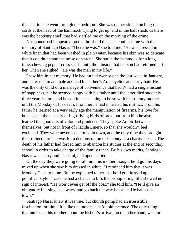the last time he went through the bedroom. She was on her side, clutching the cords at the head of the hammock trying to get up, and in the half shadows there was the baptistry smell that had startled me on the morning of the crime.

No sooner had I appeared on the threshold than she confused me with the memory of Santiago Nasar. "There he was," she told me. "He was dressed in white linen that had been washed in plain water, because his skin was so delicate that it couldn't stand the noise of starch." She sat in the hammock for a long time, chewing pepper cress seeds, until the illusion that her son had returned left her. Then she sighed: "He was the man in my life."

I saw him in her memory. He had turned twenty-one the last week in January, and he was slim and pale and had his father's Arab eyelids and curly hair. He was the only child of a marriage of convenience that hadn't had a single instant of happiness, but he seemed happy with his father until the latter died suddenly, three years before, and he continued seeming to be so with his solitary mother until the Monday of his death. From her he had inherited his instinct. From his father he learned at a very early age the manipulation of firearms, his love for horses, and the mastery of high-flying birds of prey, but from him he also learned the good arts of valor and prudence. They spoke Arabic between themselves, but not in front of Plácida Linero, so that she wouldn't feel excluded. They were never seen armed in town, and the only time they brought their trained birds in was for a demonstration of falconry at a charity bazaar. The death of his father had forced him to abandon his studies at the end of secondary school in order to take charge of the family ranch. By his own merits, Santiago Nasar was merry and peaceful, and openhearted.

On the day they were going to kill him, his mother thought he'd got his days mixed up when she saw him dressed in white. "I reminded him that it was Monday," she told me. But he explained to her that he'd got dressed up pontifical style in case he had a chance to kiss the bishop's ring. She showed no sign of interest. "He won't even get off the boat," she told him. "He'll give an obligatory blessing, as always, and go back the way he came. He hates this town."

Santiago Nasar knew it was true, but church pomp had an irresistible fascination for him. "It's like the movies," he'd told me once. The only thing that interested his mother about the bishop's arrival, on the other hand, was for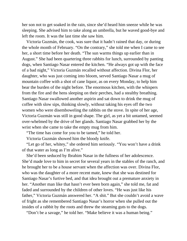her son not to get soaked in the rain, since she'd heard him sneeze while he was sleeping. She advised him to take along an umbrella, but he waved good-bye and left the room. It was the last time she saw him.

Victoria Guzmán, the cook, was sure that it hadn't rained that day, or during the whole month of February. "On the contrary," she told me when I came to see her, a short time before her death. "The sun warms things up earlier than in August." She had been quartering three rabbits for lunch, surrounded by panting dogs, when Santiago Nasar entered the kitchen. "He always got up with the face of a bad night," Victoria Guzmán recalled without affection. Divina Flor, her daughter, who was just coming into bloom, served Santiago Nasar a mug of mountain coffee with a shot of cane liquor, as on every Monday, to help him bear the burden of the night before. The enormous kitchen, with the whispers from the fire and the hens sleeping on their perches, had a stealthy breathing. Santiago Nasar swallowed another aspirin and sat down to drink the mug of coffee with slow sips, thinking slowly, without taking his eyes off the two women who were disemboweling the rabbits on the stove. In spite of her age, Victoria Guzmán was still in good shape. The girl, as yet a bit untamed, seemed over-whelmed by the drive of her glands. Santiago Nasar grabbed her by the wrist when she came to take the empty mug from him.

"The time has come for you to be tamed," he told her.

Victoria Guzmán showed him the bloody knife.

"Let go of her, whitey," she ordered him seriously. "You won't have a drink of that water as long as I'm alive."

She'd been seduced by Ibrahim Nasar in the fullness of her adolescence. She'd made love to him in secret for several years in the stables of the ranch, and he brought her to be a house servant when the affection was over. Divina Flor, who was the daughter of a more recent mate, knew that she was destined for Santiago Nasar's furtive bed, and that idea brought out a premature anxiety in her. "Another man like that hasn't ever been born again," she told me, fat and faded and surrounded by the children of other loves. "He was just like his father," Victoria Guzmán answered her. "A shit." But she couldn't avoid a wave of fright as she remembered Santiago Nasar's horror when she pulled out the insides of a rabbit by the roots and threw the steaming guts to the dogs.

"Don't be a savage," he told her. "Make believe it was a human being."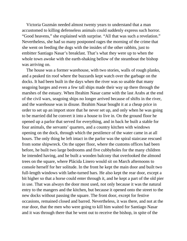Victoria Guzmán needed almost twenty years to understand that a man accustomed to killing defenseless animals could suddenly express such horror. "Good heavens," she explained with surprise. "All that was such a revelation." Nevertheless, she had so many postponed rages the morning of the crime that she went on feeding the dogs with the insides of the other rabbits, just to embitter Santiago Nasar's breakfast. That's what they were up to when the whole town awoke with the earth-shaking bellow of the steamboat the bishop was arriving on.

The house was a former warehouse, with two stories, walls of rough planks, and a peaked tin roof where the buzzards kept watch over the garbage on the docks. It had been built in the days when the river was so usable that many seagoing barges and even a few tall ships made their way up there through the marshes of the estuary. When Ibrahim Nasar came with the last Arabs at the end of the civil wars, seagoing ships no longer arrived because of shifts in the river, and the warehouse was in disuse. Ibrahim Nasar bought it at a cheap price in order to set up an import store that he never set up, and only when he was going to be married did he convert it into a house to live in. On the ground floor he opened up a parlor that served for everything, and in back he built a stable for four animals, the servants' quarters, and a country kitchen with windows opening on the dock, through which the pestilence of the water came in at all hours. The only thing he left intact in the parlor was the spiral staircase rescued from some shipwreck. On the upper floor, where the customs offices had been before, he built two large bedrooms and five cubbyholes for the many children he intended having, and he built a wooden balcony that overlooked the almond trees on the square, where Plácida Linero would sit on March afternoons to console herself for her solitude. In the front he kept the main door and built two full-length windows with lathe-turned bars. He also kept the rear door, except a bit higher so that a horse could enter through it, and he kept a part of the old pier in use. That was always the door most used, not only because it was the natural entry to the mangers and the kitchen, but because it opened onto the street to the new docks without passing the square. The front door, except for festive occasions, remained closed and barred. Nevertheless, it was there, and not at the rear door, that the men who were going to kill him waited for Santiago Nasar and it was through there that he went out to receive the bishop, in spite of the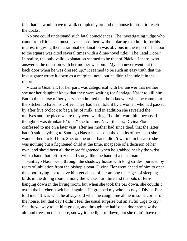fact that he would have to walk completely around the house in order to reach the docks.

No one could understand such fatal coincidences. The investigating judge who came from Riohacha must have sensed them without daring to admit it, for his interest in giving them a rational explanation was obvious in the report. The door to the square was cited several times with a dime-novel title: "The Fatal Door." In reality, the only valid explanation seemed to be that of Plácida Linero, who answered the question with her mother wisdom: "My son never went out the back door when he was dressed up." It seemed to be such an easy truth that the investigator wrote it down as a marginal note, but he didn't include it in the report.

Victoria Guzmán, for her part, was categorical with her answer that neither she nor her daughter knew that they were waiting for Santiago Nasar to kill him. But in the course of her years she admitted that both knew it when he came into the kitchen to have his coffee. They had been told it by a woman who had passed by after five o'clock to beg a bit of milk, and in addition she revealed the motives and the place where they were waiting. "I didn't warn him because I thought it was drunkards' talk," she told me. Nevertheless, Divina Flor confessed to me on a later visit, after her mother had since died, that the latter hadn't said anything to Santiago Nasar because in the depths of her heart she wanted them to kill him. She, on the other hand, didn't warn him because she was nothing but a frightened child at the time, incapable of a decision of her own, and she'd been all the more frightened when he grabbed her by the wrist with a hand that felt frozen and stony, like the hand of a dead man.

Santiago Nasar went through the shadowy house with long strides, pursued by roars of jubilation from the bishop's boat. Divina Flor went ahead of him to open the door, trying not to have him get ahead of her among the cages of sleeping birds in the dining room, among the wicker furniture and the pots of ferns hanging down in the living room, but when she took the bar down, she couldn't avoid the butcher hawk hand again. "He grabbed my whole pussy," Divina Flor told me. "It was what he always did when he caught me alone in some corner of the house, but that day I didn't feel the usual surprise but an awful urge to cry." She drew away to let him go out, and through the half-open door she saw the almond trees on the square, snowy in the light of dawn, but she didn't have the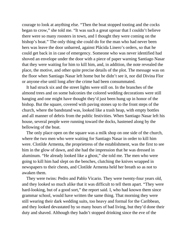courage to look at anything else. "Then the boat stopped tooting and the cocks began to crow," she told me. "It was such a great uproar that I couldn't believe there were so many roosters in town, and I thought they were coming on the bishop's boat." The only thing she could do for the man who had never been hers was leave the door unbarred, against Plácida Linero's orders, so that he could get back in in case of emergency. Someone who was never identified had shoved an envelope under the door with a piece of paper warning Santiago Nasar that they were waiting for him to kill him, and, in addition, the note revealed the place, the motive, and other quite precise details of the plot. The message was on the floor when Santiago Nasar left home but he didn't see it, nor did Divina Flor or anyone else until long after the crime had been consummated.

It had struck six and the street lights were still on. In the branches of the almond trees and on some balconies the colored wedding decorations were still hanging and one might have thought they'd just been hung up in honor of the bishop. But the square, covered with paving stones up to the front steps of the church, where the bandstand was, looked like a trash heap, with empty bottles and all manner of debris from the public festivities. When Santiago Nasar left his house, several people were running toward the docks, hastened along by the bellowing of the boat.

The only place open on the square was a milk shop on one side of the church, where the two men who were waiting for Santiago Nasar in order to kill him were. Clotilde Armenta, the proprietress of the establishment, was the first to see him in the glow of dawn, and she had the impression that he was dressed in aluminum. "He already looked like a ghost," she told me. The men who were going to kill him had slept on the benches, clutching the knives wrapped in newspapers to their chests, and Clotilde Armenta held her breath so as not to awaken them.

They were twins: Pedro and Pablo Vicario. They were twenty-four years old, and they looked so much alike that it was difficult to tell them apart. "They were hard-looking, but of a good sort," the report said. I, who had known them since grammar school, would have written the same thing. That morning they were still wearing their dark wedding suits, too heavy and formal for the Caribbean, and they looked devastated by so many hours of bad living, but they'd done their duty and shaved. Although they hadn't stopped drinking since the eve of the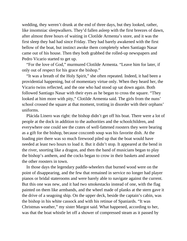wedding, they weren't drunk at the end of three days, but they looked, rather, like insomniac sleepwalkers. They'd fallen asleep with the first breezes of dawn, after almost three hours of waiting in Clotilde Armenta's store, and it was the first sleep they had had since Friday. They had barely awakened with the first bellow of the boat, but instinct awoke them completely when Santiago Nasar came out of his house. Then they both grabbed the rolled-up newspapers and Pedro Vicario started to get up.

"For the love of God," murmured Clotilde Armenta. "Leave him for later, if only out of respect for his grace the bishop."

"It was a breath of the Holy Spirit," she often repeated. Indeed, it had been a providential happening, but of momentary virtue only. When they heard her, the Vicario twins reflected, and the one who had stood up sat down again. Both followed Santiago Nasar with their eyes as he began to cross the square. "They looked at him more with pity," Clotilde Armenta said. The girls from the nuns' school crossed the square at that moment, trotting in disorder with their orphans' uniforms.

Plácida Linero was right: the bishop didn't get off his boat. There were a lot of people at the dock in addition to the authorities and the schoolchildren, and everywhere one could see the crates of well-fattened roosters they were bearing as a gift for the bishop, because coxcomb soup was his favorite dish. At the loading pier there was so much firewood piled up that the boat would have needed at least two hours to load it. But it didn't stop. It appeared at the bend in the river, snorting like a dragon, and then the band of musicians began to play the bishop's anthem, and the cocks began to crow in their baskets and aroused the other roosters in town.

In those days the legendary paddle-wheelers that burned wood were on the point of disappearing, and the few that remained in service no longer had player pianos or bridal staterooms and were barely able to navigate against the current. But this one was new, and it had two smokestacks instead of one, with the flag painted on them like armbands, and the wheel made of planks at the stern gave it the drive of a seagoing ship. On the upper deck, beside the captain's cabin, was the bishop in his white cassock and with his retinue of Spaniards. "It was Christmas weather," my sister Margot said. What happened, according to her, was that the boat whistle let off a shower of compressed steam as it passed by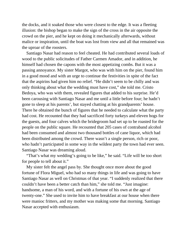the docks, and it soaked those who were closest to the edge. It was a fleeting illusion: the bishop began to make the sign of the cross in the air opposite the crowd on the pier, and he kept on doing it mechanically afterwards, without malice or inspiration, until the boat was lost from view and all that remained was the uproar of the roosters.

Santiago Nasar had reason to feel cheated. He had contributed several loads of wood to the public solicitudes of Father Carmen Amador, and in addition, he himself had chosen the capons with the most appetizing combs. But it was a passing annoyance. My sister Margot, who was with him on the pier, found him in a good mood and with an urge to continue the festivities in spite of the fact that the aspirins had given him no relief. "He didn't seem to be chilly and was only thinking about what the wedding must have cost," she told me. Cristo Bedoya, who was with them, revealed figures that added to his surprise. He'd been carousing with Santiago Nasar and me until a little before four; he hadn't gone to sleep at his parents', but stayed chatting at his grandparents' house. There he obtained the bunch of figures that he needed to calculate what the party had cost. He recounted that they had sacrificed forty turkeys and eleven hogs for the guests, and four calves which the bridegroom had set up to be roasted for the people on the public square. He recounted that 205 cases of contraband alcohol had been consumed and almost two thousand bottles of cane liquor, which had been distributed among the crowd. There wasn't a single person, rich or poor, who hadn't participated in some way in the wildest party the town had ever seen. Santiago Nasar was dreaming aloud.

"That's what my wedding's going to be like," he said. "Life will be too short for people to tell about it."

My sister felt the angel pass by. She thought once more about the good fortune of Flora Miguel, who had so many things in life and was going to have Santiago Nasar as well on Christmas of that year. "I suddenly realized that there couldn't have been a better catch than him," she told me. "Just imagine: handsome, a man of his word, and with a fortune of his own at the age of twenty-one." She used to invite him to have breakfast at our house when there were manioc fritters, and my mother was making some that morning. Santiago Nasar accepted with enthusiasm.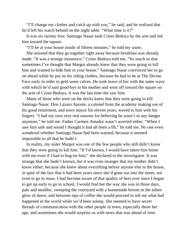"I'll change my clothes and catch up with you," he said, and he realized that he'd left his watch behind on the night table. "What time is it?"

It was six twenty-five. Santiago Nasar took Cristo Bedoya by the arm and led him toward the square.

"I'll be at your house inside of fifteen minutes," he told my sister.

She insisted that they go together right away because breakfast was already made. "It was a strange insistence," Cristo Bedoya told me. "So much so that sometimes I've thought that Margot already knew that they were going to kill him and wanted to hide him in your house." Santiago Nasar convinced her to go on ahead while he put on his riding clothes, because he had to be at The Divine Face early in order to geld some calves. He took leave of her with the same wave with which he'd said good-bye to his mother and went off toward the square on the arm of Cristo Bedoya. It was the last time she saw him.

Many of those who were on the docks knew that they were going to kill Santiago Nasar. Don Lázaro Aponte, a colonel from the academy making use of his good retirement, and town mayor for eleven years, waved to him with his fingers. "I had my own very real reasons for believing he wasn't in any danger anymore," he told me. Father Carmen Amador wasn't worried either. "When I saw him safe and sound I thought it had all been a fib," he told me. No one even wondered whether Santiago Nasar had been warned, because it seemed impossible to all that he hadn't.

In reality, my sister Margot was one of the few people who still didn't know that they were going to kill him. "If I'd known, I would have taken him home with me even if I had to hog-tie him," she declared to the investigator. It was strange that she hadn't known, but it was even stranger that my mother didn't know either, because she knew about everything before anyone else in the house, in spite of the fact that it had been years since she'd gone out into the street, not even to go to mass. I had become aware of that quality of hers ever since I began to get up early to go to school. I would find her the way she was in those days, pale and stealthy, sweeping the courtyard with a homemade broom in the ashen glow of dawn, and between sips of coffee she would proceed to tell me what had happened in the world while we'd been asleep. She seemed to have secret threads of communication with the other people in town, especially those her age, and sometimes she would surprise us with news that was ahead of time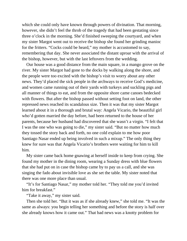which she could only have known through powers of divination. That morning, however, she didn't feel the throb of the tragedy that had been gestating since three o'clock in the morning. She'd finished sweeping the courtyard, and when my sister Margot went out to receive the bishop she found her grinding manioc for the fritters. "Cocks could be heard," my mother is accustomed to say, remembering that day. She never associated the distant uproar with the arrival of the bishop, however, but with the last leftovers from the wedding.

Our house was a good distance from the main square, in a mango grove on the river. My sister Margot had gone to the docks by walking along the shore, and the people were too excited with the bishop's visit to worry about any other news. They'd placed the sick people in the archways to receive God's medicine, and women came running out of their yards with turkeys and suckling pigs and all manner of things to eat, and from the opposite shore came canoes bedecked with flowers. But after the bishop passed without setting foot on land, the other repressed news reached its scandalous size. Then it was that my sister Margot learned about it in a thorough and brutal way: Angela Vicario, the beautiful girl who'd gotten married the day before, had been returned to the house of her parents, because her husband had discovered that she wasn't a virgin. "I felt that I was the one who was going to die," my sister said. "But no matter how much they tossed the story back and forth, no one cold explain to me how poor Santiago Nasar ended up being involved in such a mixup." The only thing they knew for sure was that Angela Vicario's brothers were waiting for him to kill him.

My sister came back home gnawing at herself inside to keep from crying. She found my mother in the dining room, wearing a Sunday dress with blue flowers that she had put on in case the bishop came by to pay us a call, and she was singing the fado about invisible love as she set the table. My sister noted that there was one more place than usual.

"It's for Santiago Nasar," my mother told her. "They told me you'd invited him for breakfast."

"Take it away," my sister said.

Then she told her. "But it was as if she already knew," she told me. "It was the same as always: you begin telling her something and before the story is half over she already knows how it came out." That bad news was a knotty problem for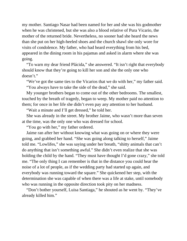my mother. Santiago Nasar had been named for her and she was his godmother when he was christened, but she was also a blood relative of Pura Vicario, the mother of the returned bride. Nevertheless, no sooner had she heard the news than she put on her high-heeled shoes and the church shawl she only wore for visits of condolence. My father, who had heard everything from his bed, appeared in the dining room in his pajamas and asked in alarm where she was going.

"To warn my dear friend Plácida," she answered. "It isn't right that everybody should know that they're going to kill her son and she the only one who doesn't."

"We've got the same ties to the Vicarios that we do with her," my father said. "You always have to take the side of the dead," she said.

My younger brothers began to come out of the other bedrooms. The smallest, touched by the breath of tragedy, began to weep. My mother paid no attention to them; for once in her life she didn't even pay any attention to her husband.

"Wait a minute and I'll get dressed," he told her.

She was already in the street. My brother Jaime, who wasn't more than seven at the time, was the only one who was dressed for school.

"You go with her," my father ordered.

Jaime ran after her without knowing what was going on or where they were going, and grabbed her hand. "She was going along talking to herself," Jaime told me. "Lowlifes," she was saying under her breath, "shitty animals that can't do anything that isn't something awful." She didn't even realize that she was holding the child by the hand. "They must have thought I'd gone crazy," she told me. "The only thing I can remember is that in the distance you could hear the noise of a lot of people, as if the wedding party had started up again, and everybody was running toward the square." She quickened her step, with the determination she was capable of when there was a life at stake, until somebody who was running in the opposite direction took pity on her madness.

"Don't bother yourself, Luisa Santiaga," he shouted as he went by. "They've already killed him."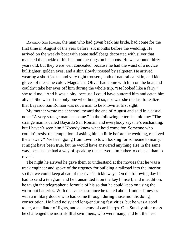BAYARDO SAN ROMÁN, the man who had given back his bride, had come for the first time in August of the year before: six months before the wedding. He arrived on the weekly boat with some saddlebags decorated with silver that matched the buckle of his belt and the rings on his boots. He was around thirty years old, but they were well concealed, because he had the waist of a novice bullfighter, golden eyes, and a skin slowly roasted by saltpeter. He arrived wearing a short jacket and very tight trousers, both of natural calfskin, and kid gloves of the same color. Magdalena Oliver had come with him on the boat and couldn't take her eyes off him during the whole trip. "He looked like a fairy," she told me. "And it was a pity, because I could have buttered him and eaten him alive." She wasn't the only one who thought so, nor was she the last to realize that Bayardo San Román was not a man to be known at first sight.

My mother wrote me at school toward the end of August and said in a casual note: "A very strange man has come." In the following letter she told me: "The strange man is called Bayardo San Román, and everybody says he's enchanting, but I haven't seen him." Nobody knew what he'd come for. Someone who couldn't resist the temptation of asking him, a little before the wedding, received the answer: "I've been going from town to town looking for someone to marry." It might have been true, but he would have answered anything else in the same way, because he had a way of speaking that served him rather to conceal than to reveal.

The night he arrived he gave them to understand at the movies that he was a track engineer and spoke of the urgency for building a railroad into the interior so that we could keep ahead of the river's fickle ways. On the following day he had to send a telegram and he transmitted it on the key himself, and in addition, he taught the telegrapher a formula of his so that he could keep on using the worn-out batteries. With the same assurance he talked about frontier illnesses with a military doctor who had come through during those months doing conscription. He liked noisy and long-enduring festivities, but he was a good toper, a mediator of fights, and an enemy of cardsharps. One Sunday after mass he challenged the most skillful swimmers, who were many, and left the best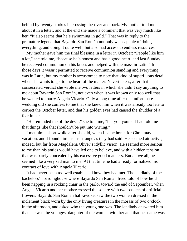behind by twenty strokes in crossing the river and back. My mother told me about it in a letter, and at the end she made a comment that was very much like her: "It also seems that he's swimming in gold." That was in reply to the premature legend that Bayardo San Román not only was capable of doing everything, and doing it quite well, but also had access to endless resources.

My mother gave him the final blessing in a letter in October: "People like him a lot," she told me, "because he's honest and has a good heart, and last Sunday he received communion on his knees and helped with the mass in Latin." In those days it wasn't permitted to receive communion standing and everything was in Latin, but my mother is accustomed to note that kind of superfluous detail when she wants to get to the heart of the matter. Nevertheless, after that consecrated verdict she wrote me two letters in which she didn't say anything to me about Bayardo San Román, not even when it was known only too well that he wanted to marry Angela Vicario. Only a long time after the unfortunate wedding did she confess to me that she knew him when it was already too late to correct the October letter, and that his golden eyes had caused the shudder of a fear in her.

"He reminded me of the devil," she told me, "but you yourself had told me that things like that shouldn't be put into writing."

I met him a short while after she did, when I came home for Christmas vacation, and I found him just as strange as they had said. He seemed attractive, indeed, but far from Magdalena Oliver's idyllic vision. He seemed more serious to me than his antics would have led one to believe, and with a hidden tension that was barely concealed by his excessive good manners. But above all, he seemed like a very sad man to me. At that time he had already formalized his contract of love with Angela Vicario.

It had never been too well established how they had met. The landlady of the bachelors' boardinghouse where Bayardo San Román lived told of how he'd been napping in a rocking chair in the parlor toward the end of September, when Angela Vicario and her mother crossed the square with two baskets of artificial flowers. Bayardo San Román half-awoke, saw the two women dressed in the inclement black worn by the only living creatures in the morass of two o'clock in the afternoon, and asked who the young one was. The landlady answered him that she was the youngest daughter of the woman with her and that her name was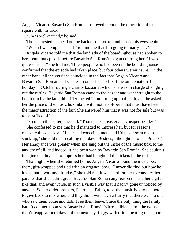Angela Vicario. Bayardo San Román followed them to the other side of the square with his look.

"She's well-named," he said.

Then he rested his head on the back of the rocker and closed his eyes again.

"When I wake up," he said, "remind me that I'm going to marry her."

Angela Vicario told me that the landlady of the boardinghouse had spoken to her about that episode before Bayardo San Román began courting her. "I was quite startled," she told me. Three people who had been in the boardinghouse confirmed that the episode had taken place, but four others weren't sure. On the other hand, all the versions coincided in the fact that Angela Vicario and Bayardo San Román had seen each other for the first time on the national holiday in October during a charity bazaar at which she was in charge of singing out the raffles. Bayardo San Román came to the bazaar and went straight to the booth run by the lanquid raffler locked in mourning up to the hilt, and he asked her the price of the music box inlaid with mother-of-pearl that must have been the major attraction of the fair. She answered him that it was not for sale but was to be raffled off.

"So much the better," he said. "That makes it easier and cheaper besides."

She confessed to me that he'd managed to impress her, but for reasons opposite those of love. "I detested conceited men, and I'd never seen one so stuck-up," she told me, recalling that day. "Besides, I thought he was a Polack." Her annoyance was greater when she sang out the raffle of the music box, to the anxiety of all, and indeed, it had been won by Bayardo San Román. She couldn't imagine that he, just to impress her, had bought all the tickets in the raffle.

That night, when she returned home, Angela Vicario found the music box there, gift-wrapped and tied with an organdy bow. "I never did find out how he knew that it was my birthday," she told me. It was hard for her to convince her parents that she hadn't given Bayardo San Román any reason to send her a gift like that, and even worse, in such a visible way that it hadn't gone unnoticed by anyone. So her older brothers, Pedro and Pablo, took the music box to the hotel to give back to its owner, and they did it with such a flurry that there was no one who saw them come and didn't see them leave. Since the only thing the family hadn't counted upon was Bayardo San Román's irresistible charm, the twins didn't reappear until dawn of the next day, foggy with drink, bearing once more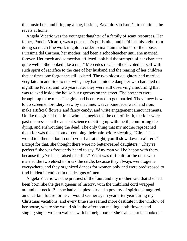the music box, and bringing along, besides, Bayardo San Román to continue the revels at home.

Angela Vicario was the youngest daughter of a family of scant resources. Her father, Poncio Vicario, was a poor man's goldsmith, and he'd lost his sight from doing so much fine work in gold in order to maintain the honor of the house. Purísima del Carmen, her mother, had been a schoolteacher until she married forever. Her meek and somewhat afflicted look hid the strength of her character quite well. "She looked like a nun," Mercedes recalls. She devoted herself with such spirit of sacrifice to the care of her husband and the rearing of her children that at times one forgot she still existed. The two oldest daughters had married very late. In addition to the twins, they had a middle daughter who had died of nighttime fevers, and two years later they were still observing a mourning that was relaxed inside the house but rigorous on the street. The brothers were brought up to be men. The girls had been reared to get married. They knew how to do screen embroidery, sew by machine, weave bone lace, wash and iron, make artificial flowers and fancy candy, and write engagement announcements. Unlike the girls of the time, who had neglected the cult of death, the four were past mistresses in the ancient science of sitting up with the ill, comforting the dying, and enshrouding the dead. The only thing that my mother reproached them for was the custom of combing their hair before sleeping. "Girls," she would tell them, "don't comb your hair at night; you'll slow down seafarers." Except for that, she thought there were no better-reared daughters. "They're perfect," she was frequently heard to say. "Any man will be happy with them because they've been raised to suffer." Yet it was difficult for the ones who married the two eldest to break the circle, because they always went together everywhere, and they organized dances for women only and were predisposed to find hidden intentions in the designs of men.

Angela Vicario was the prettiest of the four, and my mother said that she had been born like the great queens of history, with the umbilical cord wrapped around her neck. But she had a helpless air and a poverty of spirit that augured an uncertain future for her. I would see her again year after year during my Christmas vacations, and every time she seemed more destitute in the window of her house, where she would sit in the afternoon making cloth flowers and singing single-woman waltzes with her neighbors. "She's all set to be hooked,"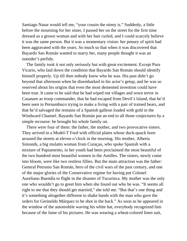Santiago Nasar would tell me, "your cousin the ninny is." Suddenly, a little before the mourning for her sister, I passed her on the street for the first time dressed as a grown woman and with her hair curled, and I could scarcely believe it was the same person. But it was a momentary vision: her penury of spirit had been aggravated with the years. So much so that when it was discovered that Bayardo San Román wanted to marry her, many people thought it was an outsider's perfidy.

The family took it not only seriously but with great excitement. Except Pura Vicario, who laid down the condition that Bayardo San Román should identify himself properly. Up till then nobody knew who he was. His past didn't go beyond that afternoon when he disembarked in his actor's getup, and he was so reserved about his origins that even the most demented invention could have been true. It came to be said that he had wiped out villages and sown terror in Casanare as troop commander, that he had escaped from Devil's Island, that he'd been seen in Pernambuco trying to make a living with a pair of trained bears, and that he'd salvaged the remains of a Spanish galleon loaded with gold in the Windward Channel. Bayardo San Román put an end to all those conjectures by a simple recourse: he brought his whole family on.

There were four of them: the father, the mother, and two provocative sisters. They arrived in a Model-T Ford with official plates whose duck-quack horn aroused the streets at eleven o'clock in the morning. His mother, Alberta Simonds, a big mulatto woman from Curaçao, who spoke Spanish with a mixture of Papiamento, in her youth had been proclaimed the most beautiful of the two hundred most beautiful women in the Antilles. The sisters, newly come into bloom, were like two restless fillies. But the main attraction was the father: General Petronio San Román, hero of the civil wars of the past century, and one of the major glories of the Conservative regime for having put Colonel Aureliano Buendía to flight in the disaster of Tucurinca. My mother was the only one who wouldn't go to greet him when she found out who he was. "It seems all right to me that they should get married," she told me. "But that's one thing and it's something altogether different to shake hands with the man who gave the orders for Gerineldo Márquez to be shot in the back." As soon as he appeared in the window of the automobile waving his white hat, everybody recognized him because of the fame of his pictures. He was wearing a wheat-colored linen suit,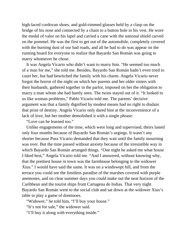high-laced cordovan shoes, and gold-rimmed glasses held by a clasp on the bridge of his nose and connected by a chain to a button hole in his vest. He wore the medal of valor on his lapel and carried a cane with the national shield carved on the pommel. He was the first to get out of the automobile, completely covered with the burning dust of our bad roads, and all he had to do was appear on the running board for everyone to realize that Bayardo San Román was going to marry whomever he chose.

It was Angela Vicario who didn't want to marry him. "He seemed too much of a man for me," she told me. Besides, Bayardo San Román hadn't even tried to court her, but had bewitched the family with his charm. Angela Vicario never forgot the horror of the night on which her parents and her older sisters with their husbands, gathered together in the parlor, imposed on her the obligation to marry a man whom she had barely seen. The twins stayed out of it. "It looked to us like woman problems," Pablo Vicario told me. The parents' decisive argument was that a family dignified by modest means had no right to disdain that prize of destiny. Angela Vicario only dared hint at the inconvenience of a lack of love, but her mother demolished it with a single phrase:

"Love can be learned too."

Unlike engagements of the time, which were long and supervised, theirs lasted only four months because of Bayardo San Román's urgings. It wasn't any shorter because Pura Vicario demanded that they wait until the family mourning was over. But the time passed without anxiety because of the irresistible way in which Bayardo San Román arranged things. "One night he asked me what house I liked best," Angela Vicario told me. "And I answered, without knowing why, that the prettiest house in town was the farmhouse belonging to the widower Xius." I would have said the same. It was on a windswept hill, and from the terrace you could see the limitless paradise of the marshes covered with purple anemones, and on clear summer days you could make out the neat horizon of the Caribbean and the tourist ships from Cartagena de Indias. That very night Bayardo San Román went to the social club and sat down at the widower Xius's table to play a game of dominoes.

"Widower," he told him, "I'll buy your house."

"It's not for sale," the widower said.

"I'll buy it along with everything inside."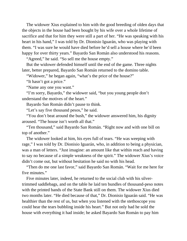The widower Xius explained to him with the good breeding of olden days that the objects in the house had been bought by his wife over a whole lifetime of sacrifice and that for him they were still a part of her. "He was speaking with his heart in his hand," I was told by Dr. Dionisio Iguarán, who was playing with them. "I was sure he would have died before he'd sell a house where he'd been happy for over thirty years." Bayardo San Román also understood his reasons.

"Agreed," he said. "So sell me the house empty."

But the widower defended himself until the end of the game. Three nights later, better prepared, Bayardo San Román returned to the domino table.

"Widower," he began again, "what's the price of the house?"

"It hasn't got a price."

"Name any one you want."

"I'm sorry, Bayardo," the widower said, "but you young people don't understand the motives of the heart."

Bayardo San Román didn't pause to think.

"Let's say five thousand pesos," he said.

"You don't beat around the bush," the widower answered him, his dignity aroused. "The house isn't worth all that."

"Ten thousand," said Bayardo San Román. "Right now and with one bill on top of another."

The widower looked at him, his eyes full of tears. "He was weeping with rage," I was told by Dr. Dionisio Iguarán, who, in addition to being a physician, was a man of letters. "Just imagine: an amount like that within reach and having to say no because of a simple weakness of the spirit." The widower Xius's voice didn't come out, but without hesitation he said no with his head.

"Then do me one last favor," said Bayardo San Román. "Wait for me here for five minutes."

Five minutes later, indeed, he returned to the social club with his silvertrimmed saddlebags, and on the table he laid ten bundles of thousand-peso notes with the printed bands of the State Bank still on them. The widower Xius died two months later. "He died because of that," Dr. Dionisio Iguarán said. "He was healthier than the rest of us, but when you listened with the stethoscope you could hear the tears bubbling inside his heart." But not only had he sold the house with everything it had inside; he asked Bayardo San Román to pay him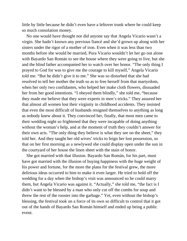little by little because he didn't even have a leftover trunk where he could keep so much consolation money.

No one would have thought nor did anyone say that Angela Vicario wasn't a virgin. She hadn't known any previous fiancé and she'd grown up along with her sisters under the rigor of a mother of iron. Even when it was less than two months before she would be married, Pura Vicario wouldn't let her go out alone with Bayardo San Román to see the house where they were going to live, but she and the blind father accompanied her to watch over her honor. "The only thing I prayed to God for was to give me the courage to kill myself," Angela Vicario told me. "But he didn't give it to me." She was so disturbed that she had resolved to tell her mother the truth so as to free herself from that martyrdom, when her only two confidantes, who helped her make cloth flowers, dissuaded her from her good intentions. "I obeyed them blindly," she told me, "because they made me believe that they were experts in men's tricks." They assured her that almost all women lost their virginity in childhood accidents. They insisted that even the most difficult of husbands resigned themselves to anything as long as nobody knew about it. They convinced her, finally, that most men came to their wedding night so frightened that they were incapable of doing anything without the woman's help, and at the moment of truth they couldn't answer for their own acts. "The only thing they believe is what they see on the sheet," they told her. And they taught her old wives' tricks to feign her lost possession, so that on her first morning as a newlywed she could display open under the sun in the courtyard of her house the linen sheet with the stain of honor.

She got married with that illusion. Bayardo San Román, for his part, must have got married with the illusion of buying happiness with the huge weight of his power and fortune, for the more the plans for the festival grew, the more delirious ideas occurred to him to make it even larger. He tried to hold off the wedding for a day when the bishop's visit was announced so he could marry them, but Angela Vicario was against it. "Actually," she told me, "the fact is I didn't want to be blessed by a man who only cut off the combs for soup and threw the rest of the rooster into the garbage." Yet, even without the bishop's blessing, the festival took on a force of its own so difficult to control that it got out of the hands of Bayardo San Román himself and ended up being a public event.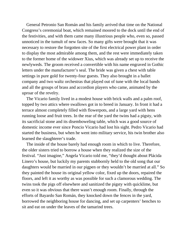General Petronio San Román and his family arrived that time on the National Congress's ceremonial boat, which remained moored to the dock until the end of the festivities, and with them came many illustrious people who, even so, passed unnoticed in the tumult of new faces. So many gifts were brought that it was necessary to restore the forgotten site of the first electrical power plant in order to display the most admirable among them, and the rest were immediately taken to the former home of the widower Xius, which was already set up to receive the newlyweds. The groom received a convertible with his name engraved in Gothic letters under the manufacturer's seal. The bride was given a chest with table settings in pure gold for twenty-four guests. They also brought in a ballet company and two waltz orchestras that played out of tune with the local bands and all the groups of brass and accordion players who came, animated by the uproar of the revelry.

The Vicario family lived in a modest house with brick walls and a palm roof, topped by two attics where swallows got in to breed in January. In front it had a terrace almost completely filled with flowerpots, and a large yard with hens running loose and fruit trees. In the rear of the yard the twins had a pigsty, with its sacrificial stone and its disemboweling table, which was a good source of domestic income ever since Poncio Vicario had lost his sight. Pedro Vicario had started the business, but when he went into military service, his twin brother also learned the slaughterer's trade.

The inside of the house barely had enough room in which to live. Therefore, the older sisters tried to borrow a house when they realized the size of the festival. "Just imagine," Angela Vicario told me, "they'd thought about Plácida Linero's house, but luckily my parents stubbornly held to the old song that our daughters would be married in our pigpen or they wouldn't be married at all." So they painted the house its original yellow color, fixed up the doors, repaired the floors, and left it as worthy as was possible for such a clamorous wedding. The twins took the pigs off elsewhere and sanitized the pigsty with quicklime, but even so it was obvious that there wasn't enough room. Finally, through the efforts of Bayardo San Román, they knocked down the fences in the yard, borrowed the neighboring house for dancing, and set up carpenters' benches to sit and eat on under the leaves of the tamarind trees.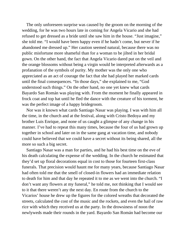The only unforeseen surprise was caused by the groom on the morning of the wedding, for he was two hours late in coming for Angela Vicario and she had refused to get dressed as a bride until she saw him in the house. "Just imagine," she told me. "I would have been happy even if he hadn't come, but never if he abandoned me dressed up." Her caution seemed natural, because there was no public misfortune more shameful than for a woman to be jilted in her bridal gown. On the other hand, the fact that Angela Vicario dared put on the veil and the orange blossoms without being a virgin would be interpreted afterwards as a profanation of the symbols of purity. My mother was the only one who appreciated as an act of courage the fact that she had played her marked cards until the final consequences. "In those days," she explained to me, "God understood such things." On the other hand, no one yet knew what cards Bayardo San Román was playing with. From the moment he finally appeared in frock coat and top hat until he fled the dance with the creature of his torment, he was the perfect image of a happy bridegroom.

Nor was it known what cards Santiago Nasar was playing. I was with him all the time, in the church and at the festival, along with Cristo Bedoya and my brother Luis Enrique, and none of us caught a glimpse of any change in his manner. I've had to repeat this many times, because the four of us had grown up together in school and later on in the same gang at vacation time, and nobody could have believed that we could have a secret without its being shared, all the more so such a big secret.

Santiago Nasar was a man for parties, and he had his best time on the eve of his death calculating the expense of the wedding. In the church he estimated that they'd set up floral decorations equal in cost to those for fourteen first-class funerals. That precision would haunt me for many years, because Santiago Nasar had often told me that the smell of closed-in flowers had an immediate relation to death for him and that day he repeated it to me as we went into the church. "I don't want any flowers at my funeral," he told me, not thinking that I would see to it that there weren't any the next day. En route from the church to the Vicarios' house he drew up the figures for the colored wreaths that decorated the streets, calculated the cost of the music and the rockets, and even the hail of raw rice with which they received us at the party. In the drowsiness of noon the newlyweds made their rounds in the yard. Bayardo San Román had become our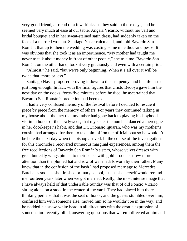very good friend, a friend of a few drinks, as they said in those days, and he seemed very much at ease at our table. Angela Vicario, without her veil and bridal bouquet and in her sweat-stained satin dress, had suddenly taken on the face of a married woman. Santiago Nasar calculated, and told Bayardo San Román, that up to then the wedding was costing some nine thousand pesos. It was obvious that she took it as an impertinence. "My mother had taught me never to talk about money in front of other people," she told me. Bayardo San Román, on the other hand, took it very graciously and even with a certain pride.

"Almost," he said, "but we're only beginning. When it's all over it will be twice that, more or less."

Santiago Nasar proposed proving it down to the last penny, and his life lasted just long enough. In fact, with the final figures that Cristo Bedoya gave him the next day on the docks, forty-five minutes before he died, he ascertained that Bayardo San Román's prediction had been exact.

I had a very confused memory of the festival before I decided to rescue it piece by piece from the memory of others. For years they continued talking in my house about the fact that my father had gone back to playing his boyhood violin in honor of the newlyweds, that my sister the nun had danced a merengue in her doorkeeper's habit, and that Dr. Dionisio Iguarán, who was my mother's cousin, had arranged for them to take him off on the official boat so he wouldn't be here the next day when the bishop arrived. In the course of the investigations for this chronicle I recovered numerous marginal experiences, among them the free recollections of Bayardo San Román's sisters, whose velvet dresses with great butterfly wings pinned to their backs with gold brooches drew more attention than the plumed hat and row of war medals worn by their father. Many knew that in the confusion of the bash I had proposed marriage to Mercedes Barcha as soon as she finished primary school, just as she herself would remind me fourteen years later when we got married. Really, the most intense image that I have always held of that undesirable Sunday was that of old Poncio Vicario sitting alone on a stool in the center of the yard. They had placed him there thinking perhaps that it was the seat of honor, and the guests stumbled over him, confused him with someone else, moved him so he wouldn't be in the way, and he nodded his snow-white head in all directions with the erratic expression of someone too recently blind, answering questions that weren't directed at him and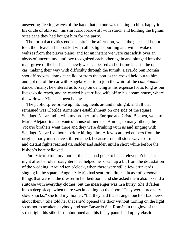answering fleeting waves of the hand that no one was making to him, happy in his circle of oblivion, his shirt cardboard-stiff with starch and holding the lignum vitae cane they had bought him for the party.

The formal activities ended at six in the afternoon, when the guests of honor took their leave. The boat left with all its lights burning and with a wake of waltzes from the player piano, and for an instant we were cast adrift over an abyss of uncertainty, until we recognized each other again and plunged into the man-grove of the bash. The newlyweds appeared a short time later in the open car, making their way with difficulty through the tumult. Bayardo San Román shot off rockets, drank cane liquor from the bottles the crowd held out to him, and got out of the car with Angela Vicario to join the whirl of the *cumbiamba* dance. Finally, he ordered us to keep on dancing at his expense for as long as our lives would reach, and he carried his terrified wife off to his dream house, where the widower Xius had been happy.

The public spree broke up into fragments around midnight, and all that remained was Clotilde Armenta's establishment on one side of the square. Santiago Nasar and I, with my brother Luis Enrique and Cristo Bedoya, went to María Alejandrina Cervantes' house of mercies. Among so many others, the Vicario brothers went there and they were drinking with us and singing with Santiago Nasar five hours before killing him. A few scattered embers from the original party must have still remained, because from all sides waves of music and distant fights reached us, sadder and sadder, until a short while before the bishop's boat bellowed.

Pura Vicario told my mother that she had gone to bed at eleven o'clock at night after her older daughters had helped her clean up a bit from the devastation of the wedding. Around ten o'clock, when there were still a few drunkards singing in the square, Angela Vicario had sent for a little suitcase of personal things that were in the dresser in her bedroom, and she asked them also to send a suitcase with everyday clothes, but the messenger was in a hurry. She'd fallen into a deep sleep, when there was knocking on the door. "They were three very slow knocks," she told my mother, "but they had that strange touch of bad news about them." She told her that she'd opened the door without turning on the light so as not to awaken anybody and saw Bayardo San Román in the glow of the street light, his silk shirt unbuttoned and his fancy pants held up by elastic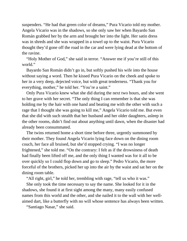suspenders. "He had that green color of dreams," Pura Vicario told my mother. Angela Vicario was in the shadows, so she only saw her when Bayardo San Román grabbed her by the arm and brought her into the light. Her satin dress was in shreds and she was wrapped in a towel up to the waist. Pura Vicario thought they'd gone off the road in the car and were lying dead at the bottom of the ravine.

"Holy Mother of God," she said in terror. "Answer me if you're still of this world."

Bayardo San Román didn't go in, but softly pushed his wife into the house without saying a word. Then he kissed Pura Vicario on the cheek and spoke to her in a very deep, dejected voice, but with great tenderness. "Thank you for everything, mother," he told her. "You're a saint."

Only Pura Vicario knew what she did during the next two hours, and she went to her grave with her secret. "The only thing I can remember is that she was holding me by the hair with one hand and beating me with the other with such a rage that I thought she was going to kill me," Angela Vicario told me. But even that she did with such stealth that her husband and her older daughters, asleep in the other rooms, didn't find out about anything until dawn, when the disaster had already been consummated.

The twins returned home a short time before three, urgently summoned by their mother. They found Angela Vicario lying face down on the dining room couch, her face all bruised, but she'd stopped crying. "I was no longer frightened," she told me. "On the contrary: I felt as if the drowsiness of death had finally been lifted off me, and the only thing I wanted was for it all to be over quickly so I could flop down and go to sleep." Pedro Vicario, the more forceful of the brothers, picked her up into the air by the waist and sat her on the dining room table.

"All right, girl," he told her, trembling with rage, "tell us who it was."

She only took the time necessary to say the name. She looked for it in the shadows, she found it at first sight among the many, many easily confused names from this world and the other, and she nailed it to the wall with her wellaimed dart, like a butterfly with no will whose sentence has always been written.

"Santiago Nasar," she said.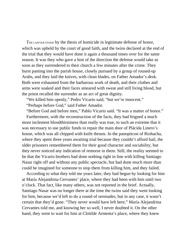THE LAWYER STOOD by the thesis of homicide in legitimate defense of honor, which was upheld by the court of good faith, and the twins declared at the end of the trial that they would have done it again a thousand times over for the same reason. It was they who gave a hint of the direction the defense would take as soon as they surrendered to their church a few minutes after the crime. They burst panting into the parish house, closely pursued by a group of roused-up Arabs, and they laid the knives, with clean blades, on Father Amador's desk. Both were exhausted from the barbarous work of death, and their clothes and arms were soaked and their faces smeared with sweat and still living blood, but the priest recalled the surrender as an act of great dignity.

"We killed him openly," Pedro Vicario said, "but we're innocent."

"Perhaps before God," said Father Amador.

"Before God and before men," Pablo Vicario said. "It was a matter of honor." Furthermore, with the reconstruction of the facts, they had feigned a much more inclement bloodthirstiness than really was true, to such an extreme that it was necessary to use public funds to repair the main door of Plácida Linero's house, which was all chipped with knife thrusts. In the panopticon of Riohacha, where they spent three years awaiting trial because they couldn't afford bail, the older prisoners remembered them for their good character and sociability, but they never noticed any indication of remorse in them. Still, the reality seemed to be that the Vicario brothers had done nothing right in line with killing Santiago Nasar right off and without any public spectacle, but had done much more than could be imagined for someone to stop them from killing him, and they failed.

According to what they told me years later, they had begun by looking for him at María Alejandrina Cervantes' place, where they had been with him until two o'clock. That fact, like many others, was not reported in the brief. Actually, Santiago Nasar was no longer there at the time the twins said they went looking for him, because we'd left to do a round of serenades, but in any case, it wasn't certain that they'd gone. "They never would have left here," María Alejandrina Cervantes told me, and knowing her so well, I never doubted it. On the other hand, they went to wait for him at Clotilde Armenta's place, where they knew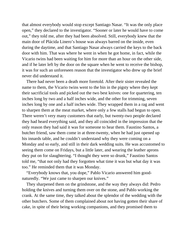that almost everybody would stop except Santiago Nasar. "It was the only place open," they declared to the investigator. "Sooner or later he would have to come out," they told me, after they had been absolved. Still, everybody knew that the main door of Plácida Linero's house was always barred on the inside, even during the daytime, and that Santiago Nasar always carried the keys to the back door with him. That was where he went in when he got home, in fact, while the Vicario twins had been waiting for him for more than an hour on the other side, and if he later left by the door on the square when he went to receive the bishop, it was for such an unforeseen reason that the investigator who drew up the brief never did understand it.

There had never been a death more foretold. After their sister revealed the name to them, the Vicario twins went to the bin in the pigsty where they kept their sacrificial tools and picked out the two best knives: one for quartering, ten inches long by two and a half inches wide, and the other for trimming, seven inches long by one and a half inches wide. They wrapped them in a rag and went to sharpen them at the meat market, where only a few stalls had begun to open. There weren't very many customers that early, but twenty-two people declared they had heard everything said, and they all coincided in the impression that the only reason they had said it was for someone to hear them. Faustino Santos, a butcher friend, saw them come in at three-twenty, when he had just opened up his innards table, and he couldn't understand why they were coming on a Monday and so early, and still in their dark wedding suits. He was accustomed to seeing them come on Fridays, but a little later, and wearing the leather aprons they put on for slaughtering. "I thought they were so drunk," Faustino Santos told me, "that not only had they forgotten what time it was but what day it was too." He reminded them that it was Monday.

"Everybody knows that, you dope," Pablo Vicario answered him goodnaturedly. "We just came to sharpen our knives."

They sharpened them on the grindstone, and the way they always did: Pedro holding the knives and turning them over on the stone, and Pablo working the crank. At the same time, they talked about the splendor of the wedding with the other butchers. Some of them complained about not having gotten their share of cake, in spite of their being working companions, and they promised them to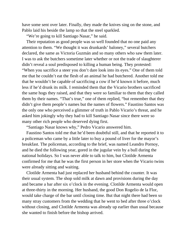have some sent over later. Finally, they made the knives sing on the stone, and Pablo laid his beside the lamp so that the steel sparkled.

"We're going to kill Santiago Nasar," he said.

Their reputation as good people was so well founded that no one paid any attention to them. "We thought it was drunkards' baloney," several butchers declared, the same as Victoria Guzmán and so many others who saw them later. I was to ask the butchers sometime later whether or not the trade of slaughterer didn't reveal a soul predisposed to killing a human being. They protested: "When you sacrifice a steer you don't dare look into its eyes." One of them told me that he couldn't eat the flesh of an animal he had butchered. Another told me that he wouldn't be capable of sacrificing a cow if he'd known it before, much less if he'd drunk its milk. I reminded them that the Vicario brothers sacrificed the same hogs they raised, and that they were so familiar to them that they called them by their names. "That's true," one of them replied, "but remember that they didn't give them people's names but the names of flowers." Faustino Santos was the only one who perceived a glimmer of truth in Pablo Vicario's threat, and he asked him jokingly why they had to kill Santiago Nasar since there were so many other rich people who deserved dying first.

"Santiago Nasar knows why," Pedro Vicario answered him.

Faustino Santos told me that he'd been doubtful still, and that he reported it to a policeman who came by a little later to buy a pound of liver for the mayor's breakfast. The policeman, according to the brief, was named Leandro Pornoy, and he died the following year, gored in the jugular vein by a bull during the national holidays. So I was never able to talk to him, but Clotilde Armenta confirmed for me that he was the first person in her store when the Vicario twins were already sitting and waiting.

Clotilde Armenta had just replaced her husband behind the counter. It was their usual system. The shop sold milk at dawn and provisions during the day and became a bar after six o'clock in the evening. Clotilde Armenta would open at three-thirty in the morning. Her husband, the good Don Rogelio de la Flor, would take charge of the bar until closing time. But that night there had been so many stray customers from the wedding that he went to bed after three o'clock without closing, and Clotilde Armenta was already up earlier than usual because she wanted to finish before the bishop arrived.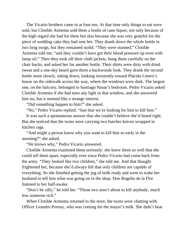The Vicario brothers came in at four-ten. At that time only things to eat were sold, but Clotilde Armenta sold them a bottle of cane liquor, not only because of the high regard she had for them but also because she was very grateful for the piece of wedding cake they had sent her. They drank down the whole bottle in two long swigs, but they remained stolid. "They were stunned," Clotilde Armenta told me, "and they couldn't have got their blood pressure up even with lamp oil." Then they took off their cloth jackets, hung them carefully on the chair backs, and asked her for another bottle. Their shirts were dirty with dried sweat and a one-day beard gave them a backwoods look. They drank the second bottle more slowly, sitting down, looking insistently toward Plácida Linero's house on the sidewalk across the way, where the windows were dark. The largest one, on the balcony, belonged to Santiago Nasar's bedroom. Pedro Vicario asked Clotilde Armenta if she had seen any light in that window, and she answered him no, but it seemed like a strange interest.

"Did something happen to him?" she asked.

"No," Pedro Vicario replied. "Just that we're looking for him to kill him."

It was such a spontaneous answer that she couldn't believe she'd heard right. But she noticed that the twins were carrying two butcher knives wrapped in kitchen rags.

"And might a person know why you want to kill him so early in the morning?" she asked.

"He knows why," Pedro Vicario answered.

Clotilde Armenta examined them seriously: she knew them so well that she could tell them apart, especially ever since Pedro Vicario had come back from the army. "They looked like two children," she told me. And that thought frightened her, because she'd always felt that only children are capable of everything. So she finished getting the jug of milk ready and went to wake her husband to tell him what was going on in the shop. Don Rogelio de la Flor listened to her half-awake.

"Don't be silly," he told her. "Those two aren't about to kill anybody, much less someone rich."

When Clotilde Armenta returned to the store, the twins were chatting with Officer Leandro Pornoy, who was coming for the mayor's milk. She didn't hear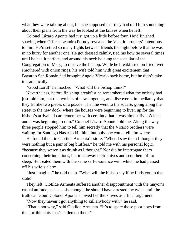what they were talking about, but she supposed that they had told him something about their plans from the way he looked at the knives when he left.

Colonel Lázaro Aponte had just got up a little before four. He'd finished shaving when Officer Leandro Pornoy revealed the Vicario brothers' intentions to him. He'd settled so many fights between friends the night before that he was in no hurry for another one. He got dressed calmly, tied his bow tie several times until he had it perfect, and around his neck he hung the scapular of the Congregation of Mary, to receive the bishop. While he breakfasted on fried liver smothered with onion rings, his wife told him with great excitement that Bayardo San Román had brought Angela Vicario back home, but he didn't take it dramatically.

"Good Lord!" he mocked. "What will the bishop think!"

Nevertheless, before finishing breakfast he remembered what the orderly had just told him, put the two bits of news together, and discovered immediately that they fit like two pieces of a puzzle. Then he went to the square, going along the street to the new dock, where the houses were beginning to liven up for the bishop's arrival. "I can remember with certainty that it was almost five o'clock and it was beginning to rain," Colonel Lázaro Aponte told me. Along the way three people stopped him to tell him secretly that the Vicario brothers were waiting for Santiago Nasar to kill him, but only one could tell him where.

He found them in Clotilde Armenta's store. "When I saw them I thought they were nothing but a pair of big bluffers," he told me with his personal logic, "because they weren't as drunk as I thought." Nor did he interrogate them concerning their intentions, but took away their knives and sent them off to sleep. He treated them with the same self-assurance with which he had passed off his wife's alarm.

"Just imagine!" he told them. "What will the bishop say if he finds you in that state!"

They left. Clotilde Armenta suffered another disappointment with the mayor's casual attitude, because she thought he should have arrested the twins until the truth came out. Colonel Aponte showed her the knives as a final argument.

"Now they haven't got anything to kill anybody with," he said.

"That's not why," said Clotilde Armenta. "It's to spare those poor boys from the horrible duty that's fallen on them."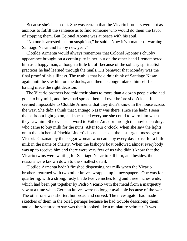Because she'd sensed it. She was certain that the Vicario brothers were not as anxious to fulfill the sentence as to find someone who would do them the favor of stopping them. But Colonel Aponte was at peace with his soul.

"No one is arrested just on suspicion," he said. "Now it's a matter of warning Santiago Nasar and happy new year."

Clotilde Armenta would always remember that Colonel Aponte's chubby appearance brought on a certain pity in her, but on the other hand I remembered him as a happy man, although a little bit off because of the solitary spiritualist practices he had learned through the mails. His behavior that Monday was the final proof of his silliness. The truth is that he didn't think of Santiago Nasar again until he saw him on the docks, and then he congratulated himself for having made the right decision.

The Vicario brothers had told their plans to more than a dozen people who had gone to buy milk, and these had spread them all over before six o'clock. It seemed impossible to Clotilde Armenta that they didn't know in the house across the way. She didn't think that Santiago Nasar was there, since she hadn't seen the bedroom light go on, and she asked everyone she could to warn him when they saw him. She even sent word to Father Amador through the novice on duty, who came to buy milk for the nuns. After four o'clock, when she saw the lights on in the kitchen of Plácida Linero's house, she sent the last urgent message to Victoria Guzmán by the beggar woman who came by every day to ask for a little milk in the name of charity. When the bishop's boat bellowed almost everybody was up to receive him and there were very few of us who didn't know that the Vicario twins were waiting for Santiago Nasar to kill him, and besides, the reasons were known down to the smallest detail.

Clotilde Armenta hadn't finished dispensing her milk when the Vicario brothers returned with two other knives wrapped up in newspapers. One was for quartering, with a strong, rusty blade twelve inches long and three inches wide, which had been put together by Pedro Vicario with the metal from a marquetry saw at a time when German knives were no longer available because of the war. The other one was shorter, but broad and curved. The investigator had made sketches of them in the brief, perhaps because he had trouble describing them, and all he ventured to say was that it looked like a miniature scimitar. It was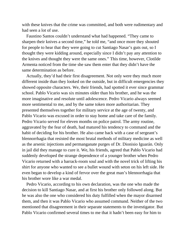with these knives that the crime was committed, and both were rudimentary and had seen a lot of use.

Faustino Santos couldn't understand what had happened. "They came to sharpen their knives a second time," he told me, "and once more they shouted for people to hear that they were going to cut Santiago Nasar's guts out, so I thought they were kidding around, especially since I didn't pay any attention to the knives and thought they were the same ones." This time, however, Clotilde Armenta noticed from the time she saw them enter that they didn't have the same determination as before.

Actually, they'd had their first disagreement. Not only were they much more different inside than they looked on the outside, but in difficult emergencies they showed opposite characters. We, their friends, had spotted it ever since grammar school. Pablo Vicario was six minutes older than his brother, and he was the more imaginative and resolute until adolescence. Pedro Vicario always seemed more sentimental to me, and by the same token more authoritarian. They presented themselves together for military service at the age of twenty, and Pablo Vicario was excused in order to stay home and take care of the family. Pedro Vicario served for eleven months on police patrol. The army routine, aggravated by the fear of death, had matured his tendency to command and the habit of deciding for his brother. He also came back with a case of sergeant's blennorrhagia that resisted the most brutal methods of military medicine as well as the arsenic injections and permanganate purges of Dr. Dionisio Iguarán. Only in jail did they manage to cure it. We, his friends, agreed that Pablo Vicario had suddenly developed the strange dependence of a younger brother when Pedro Vicario returned with a barrack-room soul and with the novel trick of lifting his shirt for anyone who wanted to see a bullet wound with seton on his left side. He even began to develop a kind of fervor over the great man's blennorrhagia that his brother wore like a war medal.

Pedro Vicario, according to his own declaration, was the one who made the decision to kill Santiago Nasar, and at first his brother only followed along. But he was also the one who considered his duty fulfilled when the mayor disarmed them, and then it was Pablo Vicario who assumed command. Neither of the two mentioned that disagreement in their separate statements to the investigator. But Pablo Vicario confirmed several times to me that it hadn't been easy for him to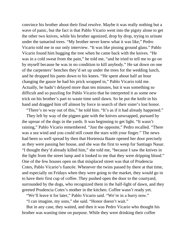convince his brother about their final resolve. Maybe it was really nothing but a wave of panic, but the fact is that Pablo Vicario went into the pigsty alone to get the other two knives, while his brother agonized, drop by drop, trying to urinate under the tamarind trees. "My brother never knew what it was like," Pedro Vicario told me in our only interview. "It was like pissing ground glass." Pablo Vicario found him hugging the tree when he came back with the knives. "He was in a cold sweat from the pain," he told me, "and he tried to tell me to go on by myself because he was in no condition to kill anybody." He sat down on one of the carpenters' benches they'd set up under the trees for the wedding lunch, and he dropped his pants down to his knees. "He spent about half an hour changing the gauze he had his prick wrapped in," Pablo Vicario told me. Actually, he hadn't delayed more than ten minutes, but it was something so difficult and so puzzling for Pablo Vicario that he interpreted it as some new trick on his brother's part to waste time until dawn. So he put the knife in his hand and dragged him off almost by force in search of their sister's lost honor.

"There's no way out of this," he told him. "It's as if it had already happened."

They left by way of the pigpen gate with the knives unwrapped, pursued by the uproar of the dogs in the yards. It was beginning to get light. "It wasn't raining," Pablo Vicario remembered. "Just the opposite," Pedro recalled. "There was a sea wind and you could still count the stars with your finger." The news had been so well spread by then that Hortensia Baute opened her door precisely as they were passing her house, and she was the first to weep for Santiago Nasar. "I thought they'd already killed him," she told me, "because I saw the knives in the light from the street lamp and it looked to me that they were dripping blood." One of the few houses open on that misplaced street was that of Prudencia Cotes, Pablo Vicario's fiancée. Whenever the twins passed by there at that time, and especially on Fridays when they were going to the market, they would go in to have their first cup of coffee. They pushed open the door to the courtyard, surrounded by the dogs, who recognized them in the half-light of dawn, and they greeted Prudencia Cotes's mother in the kitchen. Coffee wasn't ready yet.

"We'll leave it for later," Pablo Vicario said. "We're in a hurry now."

"I can imagine, my sons," she said. "Honor doesn't wait."

But in any case, they waited, and then it was Pedro Vicario who thought his brother was wasting time on purpose. While they were drinking their coffee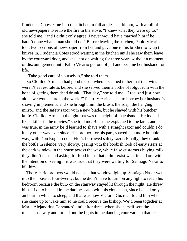Prudencia Cotes came into the kitchen in full adolescent bloom, with a roll of old newspapers to revive the fire in the stove. "I knew what they were up to," she told me, "and I didn't only agree, I never would have married him if he hadn't done what a man should do." Before leaving the kitchen, Pablo Vicario took two sections of newspaper from her and gave one to his brother to wrap the knives in. Prudencia Cotes stood waiting in the kitchen until she saw them leave by the courtyard door, and she kept on waiting for three years without a moment of discouragement until Pablo Vicario got out of jail and became her husband for life.

"Take good care of yourselves," she told them.

So Clotilde Armenta had good reason when it seemed to her that the twins weren't as resolute as before, and she served them a bottle of rotgut rum with the hope of getting them dead drunk. "That day," she told me, "I realized just how alone we women are in the world!" Pedro Vicario asked to borrow her husband's shaving implements, and she brought him the brush, the soap, the hanging mirror, and the safety razor with a new blade, but he shaved with his butcher knife. Clotilde Armenta thought that was the height of machismo. "He looked like a killer in the movies," she told me. But as he explained to me later, and it was true, in the army he'd learned to shave with a straight razor and couldn't do it any other way ever since. His brother, for his part, shaved in a more humble way, with Don Rogelio de la Flor's borrowed safety razor. Finally, they drank the bottle in silence, very slowly, gazing with the boobish look of early risers at the dark window in the house across the way, while false customers buying milk they didn't need and asking for food items that didn't exist went in and out with the intention of seeing if it was true that they were waiting for Santiago Nasar to kill him.

The Vicario brothers would not see that window light up. Santiago Nasar went into the house at four-twenty, but he didn't have to turn on any light to reach his bedroom because the bulb on the stairway stayed lit through the night. He threw himself onto his bed in the darkness and with his clothes on, since he had only an hour in which to sleep, and that was how Victoria Guzmán found him when she came up to wake him so he could receive the bishop. We'd been together at María Alejandrina Cervantes' until after three, when she herself sent the musicians away and turned out the lights in the dancing courtyard so that her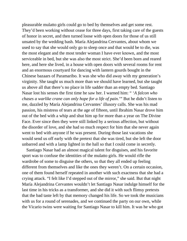pleasurable mulatto girls could go to bed by themselves and get some rest. They'd been working without cease for three days, first taking care of the guests of honor in secret, and then turned loose with open doors for those of us still unsated by the wedding bash. María Alejandrina Cervantes, about whom we used to say that she would only go to sleep once and that would be to die, was the most elegant and the most tender woman I have ever known, and the most serviceable in bed, but she was also the most strict. She'd been born and reared here, and here she lived, in a house with open doors with several rooms for rent and an enormous courtyard for dancing with lantern gourds bought in the Chinese bazaars of Paramaribo. It was she who did away with my generation's virginity. She taught us much more than we should have learned, but she taught us above all that there's no place in life sadder than an empty bed. Santiago Nasar lost his senses the first time he saw her. I warned him: " '*A falcon who chases a warlike crane can only hope for a life of pain*.'" But he didn't listen to me, dazzled by María Alejandrina Cervantes' illusory calls. She was his mad passion, his mistress of tears at the age of fifteen, until Ibrahim Nasar drove him out of the bed with a whip and shut him up for more than a year on The Divine Face. Ever since then they were still linked by a serious affection, but without the disorder of love, and she had so much respect for him that she never again went to bed with anyone if he was present. During those last vacations she would send us off early with the pretext that she was tired, but she left the door unbarred and with a lamp lighted in the hall so that I could come in secretly.

Santiago Nasar had an almost magical talent for disguises, and his favorite sport was to confuse the identities of the mulatto girls. He would rifle the wardrobe of some to disguise the others, so that they all ended up feeling different from themselves and like the ones they weren't. On a certain occasion, one of them found herself repeated in another with such exactness that she had a crying attack. "I felt like I'd stepped out of the mirror," she said. But that night María Alejandrina Cervantes wouldn't let Santiago Nasar indulge himself for the last time in his tricks as a transformer, and she did it with such flimsy pretexts that the bad taste left by that memory changed his life. So we took the musicians with us for a round of serenades, and we continued the party on our own, while the Vicario twins were waiting for Santiago Nasar to kill him. It was he who got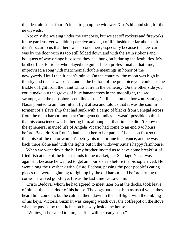the idea, almost at four o'clock, to go up the widower Xius's hill and sing for the newlyweds.

Not only did we sing under the windows, but we set off rockets and fireworks in the gardens, yet we didn't perceive any sign of life inside the farmhouse. It didn't occur to us that there was no one there, especially because the new car was by the door with its top still folded down and with the satin ribbons and bouquets of wax orange blossoms they had hung on it during the festivities. My brother Luis Enrique, who played the guitar like a professional at that time, improvised a song with matrimonial double meanings in honor of the newlyweds. Until then it hadn't rained. On the contrary, the moon was high in the sky and the air was clear, and at the bottom of the precipice you could see the trickle of light from the Saint Elmo's fire in the cemetery. On the other side you could make out the groves of blue banana trees in the moonlight, the sad swamps, and the phosphorescent line of the Caribbean on the horizon. Santiago Nasar pointed to an intermittent light at sea and told us that it was the soul in torment of a slave ship that had sunk with a cargo of blacks from Senegal across from the main harbor mouth at Cartagena de Indias. It wasn't possible to think that his conscience was bothering him, although at that time he didn't know that the ephemeral married life of Angela Vicario had come to an end two hours before. Bayardo San Román had taken her to her parents' house on foot so that the noise of the motor wouldn't betray his misfortune in advance, and he was back there alone and with the lights out in the widower Xius's happy farmhouse.

When we went down the hill my brother invited us to have some breakfast of fried fish at one of the lunch stands in the market, but Santiago Nasar was against it because he wanted to get an hour's sleep before the bishop arrived. He went along the riverbank with Cristo Bedoya, passing the poor people's eating places that were beginning to light up by the old harbor, and before turning the corner he waved good-bye. It was the last time we saw him.

Cristo Bedoya, whom he had agreed to meet later on at the docks, took leave of him at the back door of his house. The dogs barked at him as usual when they heard him come in, but he calmed them down in the half-light with the tinkling of his keys. Victoria Guzmán was keeping watch over the coffeepot on the stove when he passed by the kitchen on his way inside the house.

"Whitey," she called to him, "coffee will be ready soon."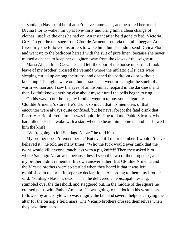Santiago Nasar told her that he'd have some later, and he asked her to tell Divina Flor to wake him up at five-thirty and bring him a clean change of clothes, just like the ones he had on. An instant after he'd gone to bed, Victoria Guzmán got the message from Clotilde Armenta sent via the milk beggar. At five-thirty she followed his orders to wake him, but she didn't send Divina Flor and went up to the bedroom herself with the suit of pure linen, because she never missed a chance to keep her daughter away from the claws of the seigneur.

María Alejandrina Cervantes had left the door of the house unbarred. I took leave of my brother, crossed the veranda where the mulatto girls' cats were sleeping curled up among the tulips, and opened the bedroom door without knocking. The lights were out, but as soon as I went in I caught the smell of a warm woman and I saw the eyes of an insomniac leopard in the darkness, and then I didn't know anything else about myself until the bells began to ring.

On his way to our house, my brother went in to buy some cigarettes at Clotilde Armenta's store. He'd drunk so much that his memories of that encounter were always quite confused, but he never forgot the fatal drink that Pedro Vicario offered him. "It was liquid fire," he told me. Pablo Vicario, who had fallen asleep, awoke with a start when he heard him come in, and he showed him the knife.

"We're going to kill Santiago Nasar," he told him.

My brother doesn't remember it. "But even if I did remember, I wouldn't have believed it," he told me many times. "Who the fuck would ever think that the twins would kill anyone, much less with a pig knife!" Then they asked him where Santiago Nasar was, because they'd seen the two of them together, and my brother didn't remember his own answer either. But Clotilde Armenta and the Vicario brothers were so startled when they heard it that it was left established in the brief in separate declarations. According to them, my brother said: "Santiago Nasar is dead." Then he delivered an episcopal blessing, stumbled over the threshold, and staggered out. In the middle of the square he crossed paths with Father Amador. He was going to the dock in his vestments, followed by an acolyte who was ringing the bell and several helpers carrying the altar for the bishop's field mass. The Vicario brothers crossed themselves when they saw them pass.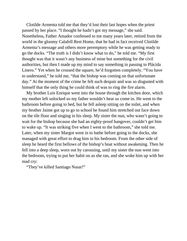Clotilde Armenta told me that they'd lost their last hopes when the priest passed by her place. "I thought he hadn't got my message," she said. Nonetheless, Father Amador confessed to me many years later, retired from the world in the gloomy Calafell Rest Home, that he had in fact received Clotilde Armenta's message and others more peremptory while he was getting ready to go the docks. "The truth is I didn't know what to do," he told me. "My first thought was that it wasn't any business of mine but something for the civil authorities, but then I made up my mind to say something in passing to Plácida Linero." Yet when he crossed the square, he'd forgotten completely. "You have to understand," he told me, "that the bishop was coming on that unfortunate day." At the moment of the crime he felt such despair and was so disgusted with himself that the only thing he could think of was to ring the fire alarm.

My brother Luis Enrique went into the house through the kitchen door, which my mother left unlocked so my father wouldn't hear us come in. He went to the bathroom before going to bed, but he fell asleep sitting on the toilet, and when my brother Jaime got up to go to school he found him stretched out face down on the tile floor and singing in his sleep. My sister the nun, who wasn't going to wait for the bishop because she had an eighty-proof hangover, couldn't get him to wake up. "It was striking five when I went to the bathroom," she told me. Later, when my sister Margot went in to bathe before going to the docks, she managed with great effort to drag him to his bedroom. From the other side of sleep he heard the first bellows of the bishop's boat without awakening. Then he fell into a deep sleep, worn out by carousing, until my sister the nun went into the bedroom, trying to put her habit on as she ran, and she woke him up with her mad cry:

"They've killed Santiago Nasar!"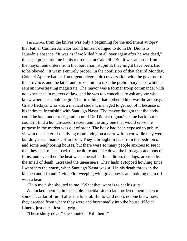THE DAMAGE from the knives was only a beginning for the inclement autopsy that Father Carmen Amador found himself obliged to do in Dr. Dionisio Iguarán's absence. "It was as if we killed him all over again after he was dead," the aged priest told me in his retirement at Calafell. "But it was an order from the mayor, and orders from that barbarian, stupid as they might have been, had to be obeyed." It wasn't entirely proper. In the confusion of that absurd Monday, Colonel Aponte had had an urgent telegraphic conversation with the governor of the province, and the latter authorized him to take the preliminary steps while he sent an investigating magistrate. The mayor was a former troop commander with no experience in matters of law, and he was too conceited to ask anyone who knew where he should begin. The first thing that bothered him was the autopsy. Cristo Bedoya, who was a medical student, managed to get out of it because of his intimate friendship with Santiago Nasar. The mayor thought that the body could be kept under refrigeration until Dr. Dionisio Iguarán came back, but he couldn't find a human-sized freezer, and the only one that would serve the purpose in the market was out of order. The body had been exposed to public view in the center of the living room, lying on a narrow iron cot while they were building a rich man's coffin for it. They'd brought in fans from the bedrooms and some neighboring houses, but there were so many people anxious to see it that they had to push back the furniture and take down the birdcages and pots of ferns, and even then the heat was unbearable. In addition, the dogs, aroused by the smell of death, increased the uneasiness. They hadn't stopped howling since I went into the house, when Santiago Nasar was still in his death throes in the kitchen and I found Divina Flor weeping with great howls and holding them off with a beam.

"Help me," she shouted to me. "What they want is to eat his guts."

We locked them up in the stable. Plácida Linero later ordered them taken to some place far off until after the funeral. But toward noon, no one knew how, they escaped from where they were and burst madly into the house. Plácida Linero, just once, lost her grip.

"Those shitty dogs!" she shouted. "Kill them!"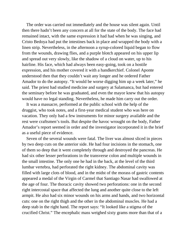The order was carried out immediately and the house was silent again. Until then there hadn't been any concern at all for the state of the body. The face had remained intact, with the same expression it had had when he was singing, and Cristo Bedoya had put the intestines back in place and wrapped the body with a linen strip. Nevertheless, in the afternoon a syrup-colored liquid began to flow from the wounds, drawing flies, and a purple blotch appeared on his upper lip and spread out very slowly, like the shadow of a cloud on water, up to his hairline. His face, which had always been easy-going, took on a hostile expression, and his mother covered it with a handkerchief. Colonel Aponte understood then that they couldn't wait any longer and he ordered Father Amador to do the autopsy. "It would be worse digging him up a week later," he said. The priest had studied medicine and surgery at Salamanca, but had entered the seminary before he was graduated, and even the mayor knew that his autopsy would have no legal standing. Nevertheless, he made him carry out the order.

It was a massacre, performed at the public school with the help of the druggist, who took notes, and a first-year medical student who was here on vacation. They only had a few instruments for minor surgery available and the rest were craftsmen's tools. But despite the havoc wrought on the body, Father Amador's report seemed in order and the investigator incorporated it in the brief as a useful piece of evidence.

Seven of the several wounds were fatal. The liver was almost sliced in pieces by two deep cuts on the anterior side. He had four incisions in the stomach, one of them so deep that it went completely through and destroyed the pancreas. He had six other lesser perforations in the transverse colon and multiple wounds in the small intestine. The only one he had in the back, at the level of the third lumbar vertebra, had perforated the right kidney. The abdominal cavity was filled with large clots of blood, and in the midst of the morass of gastric contents appeared a medal of the Virgin of Carmel that Santiago Nasar had swallowed at the age of four. The thoracic cavity showed two perforations: one in the second right intercostal space that affected the lung and another quite close to the left armpit. He also had six minor wounds on his arms and hands, and two horizontal cuts: one on the right thigh and the other in the abdominal muscles. He had a deep stab in the right hand. The report says: "It looked like a stigma of the crucified Christ." The encephalic mass weighed sixty grams more than that of a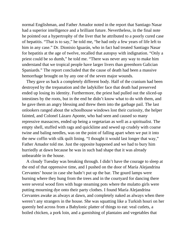normal Englishman, and Father Amador noted in the report that Santiago Nasar had a superior intelligence and a brilliant future. Nevertheless, in the final note he pointed out a hypertrophy of the liver that he attributed to a poorly cured case of hepatitis. "That is to say," he told me, "he had only a few years of life left to him in any case." Dr. Dionisio Iguarán, who in fact had treated Santiago Nasar for hepatitis at the age of twelve, recalled that autopsy with indignation. "Only a priest could be so dumb," he told me. "There was never any way to make him understand that we tropical people have larger livers than greenhorn Galician Spaniards." The report concluded that the cause of death had been a massive hemorrhage brought on by any one of the seven major wounds.

They gave us back a completely different body. Half of the cranium had been destroyed by the trepanation and the ladykiller face that death had preserved ended up losing its identity. Furthermore, the priest had pulled out the sliced-up intestines by the roots, but in the end he didn't know what to do with them, and he gave them an angry blessing and threw them into the garbage pail. The last onlookers ranged about the schoolhouse windows lost their curiosity, the helper fainted, and Colonel Lázaro Aponte, who had seen and caused so many repressive massacres, ended up being a vegetarian as well as a spiritualist. The empty shell, stuffed with rags and quicklime and sewed up crudely with coarse twine and baling needles, was on the point of falling apart when we put it into the new coffin with silk quilt lining. "I thought it would last longer that way," Father Amador told me. Just the opposite happened and we had to bury him hurriedly at dawn because he was in such bad shape that it was already unbearable in the house.

A cloudy Tuesday was breaking through. I didn't have the courage to sleep at the end of that oppressive time, and I pushed on the door of María Alejandrina Cervantes' house in case she hadn't put up the bar. The gourd lamps were burning where they hung from the trees and in the courtyard for dancing there were several wood fires with huge steaming pots where the mulatto girls were putting mourning dye onto their party clothes. I found María Alejandrina Cervantes awake as always at dawn, and completely naked as always when there weren't any strangers in the house. She was squatting like a Turkish houri on her queenly bed across from a Babylonic platter of things to eat: veal cutlets, a boiled chicken, a pork loin, and a garnishing of plantains and vegetables that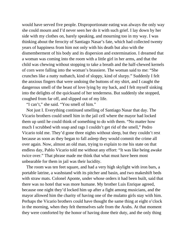would have served five people. Disproportionate eating was always the only way she could mourn and I'd never seen her do it with such grief. I lay down by her side with my clothes on, barely speaking, and mourning too in my way. I was thinking about the ferocity of Santiago Nasar's fate, which had collected twenty years of happiness from him not only with his death but also with the dismemberment of his body and its dispersion and extermination. I dreamed that a woman was coming into the room with a little girl in her arms, and that the child was chewing without stopping to take a breath and the half-chewed kernels of corn were falling into the woman's brassiere. The woman said to me: "She crunches like a nutty nuthatch, kind of sloppy, kind of slurpy." Suddenly I felt the anxious fingers that were undoing the buttons of my shirt, and I caught the dangerous smell of the beast of love lying by my back, and I felt myself sinking into the delights of the quicksand of her tenderness. But suddenly she stopped, coughed from far off, and slipped out of my life.

"I can't," she said. "You smell of him."

Not just I. Everything continued smelling of Santiago Nasar that day. The Vicario brothers could smell him in the jail cell where the mayor had locked them up until he could think of something to do with them. "No matter how much I scrubbed with soap and rags I couldn't get rid of the smell," Pedro Vicario told me. They'd gone three nights without sleep, but they couldn't rest because as soon as they began to fall asleep they would commit the crime all over again. Now, almost an old man, trying to explain to me his state on that endless day, Pablo Vicario told me without any effort: "It was like being awake twice over." That phrase made me think that what must have been most unbearable for them in jail was their lucidity.

The room was ten feet square, and had a very high skylight with iron bars, a portable latrine, a washstand with its pitcher and basin, and two makeshift beds with straw mats. Colonel Aponte, under whose orders it had been built, said that there was no hotel that was more humane. My brother Luis Enrique agreed, because one night they'd locked him up after a fight among musicians, and the mayor allowed him the charity of having one of the mulatto girls stay with him. Perhaps the Vicario brothers could have thought the same thing at eight o'clock in the morning, when they felt themselves safe from the Arabs. At that moment they were comforted by the honor of having done their duty, and the only thing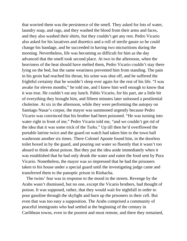that worried them was the persistence of the smell. They asked for lots of water, laundry soap, and rags, and they washed the blood from their arms and faces, and they also washed their shirts, but they couldn't get any rest. Pedro Vicario also asked for his laxatives and diuretics and a roll of sterile gauze so he could change his bandage, and he succeeded in having two micturitions during the morning. Nevertheless, life was becoming so difficult for him as the day advanced that the smell took second place. At two in the afternoon, when the heaviness of the heat should have melted them, Pedro Vicario couldn't stay there lying on the bed, but the same weariness prevented him from standing. The pain in his groin had reached his throat, his urine was shut off, and he suffered the frightful certainty that he wouldn't sleep ever again for the rest of his life. "I was awake for eleven months," he told me, and I knew him well enough to know that it was true. He couldn't eat any lunch. Pablo Vicario, for his part, ate a little bit of everything they brought him, and fifteen minutes later unloosed a pestilential cholerine. At six in the afternoon, while they were performing the autopsy on Santiago Nasar's corpse, the mayor was summoned urgently because Pedro Vicario was convinced that his brother had been poisoned. "He was turning into water right in front of me," Pedro Vicario told me, "and we couldn't get rid of the idea that it was some trick of the Turks." Up till then he'd overflowed the portable latrine twice and the guard on watch had taken him to the town hall washroom another six times. There Colonel Aponte found him, in the doorless toilet boxed in by the guard, and pouring out water so fluently that it wasn't too absurd to think about poison. But they put the idea aside immediately when it was established that he had only drunk the water and eaten the food sent by Pura Vicario. Nonetheless, the mayor was so impressed that he had the prisoners taken to his house under a special guard until the investigating judge came and transferred them to the panoptic prison in Riohacha.

The twins' fear was in response to the mood in the streets. Revenge by the Arabs wasn't dismissed, but no one, except the Vicario brothers, had thought of poison. It was supposed, rather, that they would wait for nightfall in order to pour gasoline through the skylight and burn up the prisoners in their cell. But even that was too easy a supposition. The Arabs comprised a community of peaceful immigrants who had settled at the beginning of the century in Caribbean towns, even in the poorest and most remote, and there they remained,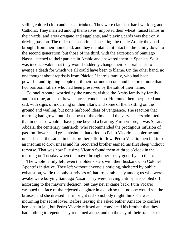selling colored cloth and bazaar trinkets. They were clannish, hard-working, and Catholic. They married among themselves, imported their wheat, raised lambs in their yards, and grew oregano and eggplants, and playing cards was their only driving passion. The older ones continued speaking the rustic Arabic they had brought from their homeland, and they maintained it intact in the family down to the second generation, but those of the third, with the exception of Santiago Nasar, listened to their parents in Arabic and answered them in Spanish. So it was inconceivable that they would suddenly change their pastoral spirit to avenge a death for which we all could have been to blame. On the other hand, no one thought about reprisals from Plácida Linero's family, who had been powerful and fighting people until their fortune ran out, and had bred more than two barroom killers who had been preserved by the salt of their name.

Colonel Aponte, worried by the rumors, visited the Arabs family by family and that time, at least, drew a correct conclusion. He found them perplexed and sad, with signs of mourning on their altars, and some of them sitting on the ground and wailing, but none harbored ideas of vengeance. The reaction that morning had grown out of the heat of the crime, and the very leaders admitted that in no case would it have gone beyond a beating. Furthermore, it was Susana Abdala, the centenary matriarch, who recommended the prodigious infusion of passion flowers and great absinthe that dried up Pablo Vicario's cholerine and unleashed at the same time his brother's florid flow. Pedro Vicario then fell into an insomniac drowsiness and his recovered brother earned his first sleep without remorse. That was how Purísima Vicario found them at three o'clock in the morning on Tuesday when the mayor brought her to say good-bye to them.

The whole family left, even the older sisters with their husbands, on Colonel Aponte's initiative. They left without anyone's noticing, sheltered by public exhaustion, while the only survivors of that irreparable day among us who were awake were burying Santiago Nasar. They were leaving until spirits cooled off, according to the mayor's decision, but they never came back. Pura Vicario wrapped the face of the rejected daughter in a cloth so that no one would see the bruises, and she dressed her in bright red so nobody might think she was mourning her secret lover. Before leaving she asked Father Amador to confess her sons in jail, but Pedro Vicario refused and convinced his brother that they had nothing to repent. They remained alone, and on the day of their transfer to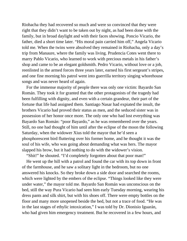Riohacha they had recovered so much and were so convinced that they were right that they didn't want to be taken out by night, as had been done with the family, but in broad daylight and with their faces showing. Poncio Vicario, the father, died a short time later. "His moral pain carried him off," Angela Vicario told me. When the twins were absolved they remained in Riohacha, only a day's trip from Manaure, where the family was living. Prudencia Cotes went there to marry Pablo Vicario, who learned to work with precious metals in his father's shop and came to be an elegant goldsmith. Pedro Vicario, without love or a job, reenlisted in the armed forces three years later, earned his first sergeant's stripes, and one fine morning his patrol went into guerrilla territory singing whorehouse songs and was never heard of again.

For the immense majority of people there was only one victim: Bayardo San Román. They took it for granted that the other protagonists of the tragedy had been fulfilling with dignity, and even with a certain grandeur, their part of the fortune that life had assigned them. Santiago Nasar had expiated the insult, the brothers Vicario had proved their status as men, and the seduced sister was in possession of her honor once more. The only one who had lost everything was Bayardo San Román: "poor Bayardo," as he was remembered over the years. Still, no one had thought of him until after the eclipse of the moon the following Saturday, when the widower Xius told the mayor that he'd seen a phosphorescent bird fluttering over his former home, and he thought it was the soul of his wife, who was going about demanding what was hers. The mayor slapped his brow, but it had nothing to do with the widower's vision.

"Shit!" he shouted. "I'd completely forgotten about that poor man!"

He went up the hill with a patrol and found the car with its top down in front of the farmhouse, and he saw a solitary light in the bedroom, but no one answered his knocks. So they broke down a side door and searched the rooms, which were lighted by the embers of the eclipse. "Things looked like they were under water," the mayor told me. Bayardo San Román was unconscious on the bed, still the way Pura Vicario had seen him early Tuesday morning, wearing his dress pants and silk shirt, but with his shoes off. There were empty bottles on the floor and many more unopened beside the bed, but not a trace of food. "He was in the last stages of ethylic intoxication," I was told by Dr. Dionisio Iguarán, who had given him emergency treatment. But he recovered in a few hours, and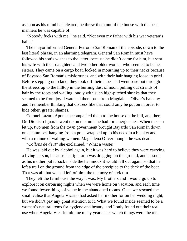as soon as his mind had cleared, he threw them out of the house with the best manners he was capable of.

"Nobody fucks with me," he said. "Not even my father with his war veteran's balls."

The mayor informed General Petronio San Román of the episode, down to the last literal phrase, in an alarming telegram. General San Román must have followed his son's wishes to the letter, because he didn't come for him, but sent his wife with their daughters and two other older women who seemed to be her sisters. They came on a cargo boat, locked in mourning up to their necks because of Bayardo San Román's misfortunes, and with their hair hanging loose in grief. Before stepping onto land, they took off their shoes and went barefoot through the streets up to the hilltop in the burning dust of noon, pulling out strands of hair by the roots and wailing loudly with such high-pitched shrieks that they seemed to be from joy. I watched them pass from Magdalena Oliver's balcony and I remember thinking that distress like that could only be put on in order to hide other, greater shames.

Colonel Lázaro Aponte accompanied them to the house on the hill, and then Dr. Dionisio Iguarán went up on the mule he had for emergencies. When the sun let up, two men from the town government brought Bayardo San Román down on a hammock hanging from a pole, wrapped up to his neck in a blanket and with a retinue of wailing women. Magdalena Oliver thought he was dead.

"*Collons de deu!*" she exclaimed. "What a waste!"

He was laid out by alcohol again, but it was hard to believe they were carrying a living person, because his right arm was dragging on the ground, and as soon as his mother put it back inside the hammock it would fall out again, so that he left a trail on the ground from the edge of the precipice to the deck of the boat. That was all that we had left of him: the memory of a victim.

They left the farmhouse the way it was. My brothers and I would go up to explore it on carousing nights when we were home on vacation, and each time we found fewer things of value in the abandoned rooms. Once we rescued the small valise that Angela Vicario had asked her mother for on her wedding night, but we didn't pay any great attention to it. What we found inside seemed to be a woman's natural items for hygiene and beauty, and I only found out their real use when Angela Vicario told me many years later which things were the old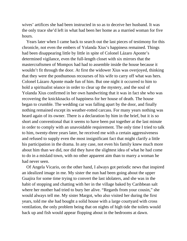wives' artifices she had been instructed in so as to deceive her husband. It was the only trace she'd left in what had been her home as a married woman for five hours.

Years later when I came back to search out the last pieces of testimony for this chronicle, not even the embers of Yolanda Xius's happiness remained. Things had been disappearing little by little in spite of Colonel Lázaro Aponte's determined vigilance, even the full-length closet with six mirrors that the mastercraftsmen of Mompox had had to assemble inside the house because it wouldn't fit through the door. At first the widower Xius was overjoyed, thinking that they were the posthumous recourses of his wife to carry off what was hers. Colonel Lázaro Aponte made fun of him. But one night it occurred to him to hold a spiritualist séance in order to clear up the mystery, and the soul of Yolanda Xius confirmed in her own handwriting that it was in fact she who was recovering the knickknacks of happiness for her house of death. The house began to crumble. The wedding car was falling apart by the door, and finally nothing remained except its weather-rotted carcass. For many years nothing was heard again of its owner. There is a declaration by him in the brief, but it is so short and conventional that it seems to have been put together at the last minute in order to comply with an unavoidable requirement. The only time I tried to talk to him, twenty-three years later, he received me with a certain aggressiveness and refused to supply even the most insignificant fact that might clarify a little his participation in the drama. In any case, not even his family knew much more about him than we did, nor did they have the slightest idea of what he had come to do in a mislaid town, with no other apparent aim than to marry a woman he had never seen.

Of Angela Vicario, on the other hand, I always got periodic news that inspired an idealized image in me. My sister the nun had been going about the upper Guajira for some time trying to convert the last idolaters, and she was in the habit of stopping and chatting with her in the village baked by Caribbean salt where her mother had tried to bury her alive. "Regards from your cousin," she would always tell me. My sister Margot, who also visited her during the first years, told me she had bought a solid house with a large courtyard with cross ventilation, the only problem being that on nights of high tide the toilets would back up and fish would appear flopping about in the bedrooms at dawn.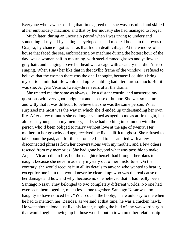Everyone who saw her during that time agreed that she was absorbed and skilled at her embroidery machine, and that by her industry she had managed to forget.

Much later, during an uncertain period when I was trying to understand something of myself by selling encyclopedias and medical books in the towns of Guajira, by chance I got as far as that Indian death village. At the window of a house that faced the sea, embroidering by machine during the hottest hour of the day, was a woman half in mourning, with steel-rimmed glasses and yellowish gray hair, and hanging above her head was a cage with a canary that didn't stop singing. When I saw her like that in the idyllic frame of the window, I refused to believe that the woman there was the one I thought, because I couldn't bring myself to admit that life would end up resembling bad literature so much. But it was she: Angela Vicario, twenty-three years after the drama.

She treated me the same as always, like a distant cousin, and answered my questions with very good judgment and a sense of humor. She was so mature and witty that it was difficult to believe that she was the same person. What surprised me most was the way in which she'd ended up understanding her own life. After a few minutes she no longer seemed as aged to me as at first sight, but almost as young as in my memory, and she had nothing in common with the person who'd been obliged to marry without love at the age of twenty. Her mother, in her grouchy old age, received me like a difficult ghost. She refused to talk about the past, and for this chronicle I had to be satisfied with a few disconnected phrases from her conversations with my mother, and a few others rescued from my memories. She had gone beyond what was possible to make Angela Vicario die in life, but the daughter herself had brought her plans to naught because she never made any mystery out of her misfortune. On the contrary, she would recount it in all its details to anyone who wanted to hear it, except for one item that would never be cleared up: who was the real cause of her damage and how and why, because no one believed that it had really been Santiago Nasar. They belonged to two completely different worlds. No one had ever seen them together, much less alone together. Santiago Nasar was too haughty to have noticed her: "Your cousin the booby," he would say to me when he had to mention her. Besides, as we said at that time, he was a chicken hawk. He went about alone, just like his father, nipping the bud of any wayward virgin that would begin showing up in those woods, but in town no other relationship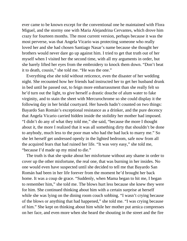ever came to be known except for the conventional one he maintained with Flora Miguel, and the stormy one with Maria Alejandrina Cervantes, which drove him crazy for fourteen months. The most current version, perhaps because it was the most perverse, was that Angela Vicario was protecting someone who really loved her and she had chosen Santiago Nasar's name because she thought her brothers would never dare go up against him. I tried to get that truth out of her myself when I visited her the second time, with all my arguments in order, but she barely lifted her eyes from the embroidery to knock them down. "Don't beat it to death, cousin," she told me. "He was the one."

Everything else she told without reticence, even the disaster of her wedding night. She recounted how her friends had instructed her to get her husband drunk in bed until he passed out, to feign more embarrassment than she really felt so he'd turn out the light, to give herself a drastic douche of alum water to fake virginity, and to stain the sheet with Mercurochrome so she could display it the following day in her bridal courtyard. Her bawds hadn't counted on two things: Bayardo San Román's exceptional resistance as a drinker, and the pure decency that Angela Vicario carried hidden inside the stolidity her mother had imposed. "I didn't do any of what they told me," she said, "because the more I thought about it, the more I realized that it was all something dirty that shouldn't be done to anybody, much less to the poor man who had the bad luck to marry me." So she let herself get undressed openly in the lighted bedroom, safe now from all the acquired fears that had ruined her life. "It was very easy," she told me, "because I'd made up my mind to die."

The truth is that she spoke about her misfortune without any shame in order to cover up the other misfortune, the real one, that was burning in her insides. No one would even have suspected until she decided to tell me that Bayardo San Román had been in her life forever from the moment he'd brought her back home. It was a coup de grace. "Suddenly, when Mama began to hit me, I began to remember him," she told me. The blows hurt less because she knew they were for him. She continued thinking about him with a certain surprise at herself while she was lying on the dining room couch sobbing. "I wasn't crying because of the blows or anything that had happened," she told me. "I was crying because of him." She kept on thinking about him while her mother put arnica compresses on her face, and even more when she heard the shouting in the street and the fire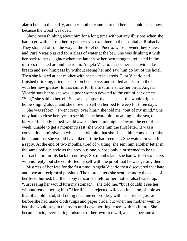alarm bells in the belfry, and her mother came in to tell her she could sleep now because the worst was over.

She'd been thinking about him for a long time without any illusions when she had to go with her mother to get her eyes examined in the hospital at Riohacha. They stopped off on the way at the Hotel del Puerto, whose owner they knew, and Pura Vicario asked for a glass of water at the bar. She was drinking it with her back to her daughter when the latter saw her own thoughts reflected in the mirrors repeated around the room. Angela Vicario turned her head with a last breath and saw him pass by without seeing her and saw him go out of the hotel. Then she looked at her mother with her heart in shreds. Pura Vicario had finished drinking, dried her lips on her sleeve, and smiled at her from the bar with her new glasses. In that smile, for the first time since her birth, Angela Vicario saw her as she was: a poor woman devoted to the cult of her defects. "Shit," she said to herself. She was so upset that she spent the whole trip back home singing aloud, and she threw herself on her bed to weep for three days.

She was reborn. "I went crazy over him," she told me, "out of my mind." She only had to close her eyes to see him, she heard him breathing in the sea, the blaze of his body in bed would awaken her at midnight. Toward the end of that week, unable to get a moment's rest, she wrote him the first letter. It was a conventional missive, in which she told him that she'd seen him come out of the hotel, and that she would have liked it if he had seen her. She waited in vain for a reply. At the end of two months, tired of waiting, she sent him another letter in the same oblique style as the previous one, whose only aim seemed to be to reproach him for his lack of courtesy. Six months later she had written six letters with no reply, but she comforted herself with the proof that he was getting them.

Mistress of her fate for the first time, Angela Vicario then discovered that hate and love are reciprocal passions. The more letters she sent the more the coals of her fever burned, but the happy rancor she felt for her mother also heated up. "Just seeing her would turn my stomach," she told me, "but I couldn't see her without remembering him." Her life as a rejected wife continued on, simple as that of an old maid, still doing machine embroidery with her friends, just as before she had made cloth tulips and paper birds, but when her mother went to bed she would stay in the room until dawn writing letters with no future. She became lucid, overbearing, mistress of her own free will, and she became a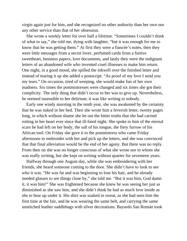virgin again just for him, and she recognized no other authority than her own nor any other service than that of her obsession.

She wrote a weekly letter for over half a lifetime. "Sometimes I couldn't think of what to say," she told me, dying with laughter, "but it was enough for me to know that he was getting them." At first they were a fiancée's notes, then they were little messages from a secret lover, perfumed cards from a furtive sweetheart, business papers, love documents, and lastly they were the indignant letters of an abandoned wife who invented cruel illnesses to make him return. One night, in a good mood, she spilled the inkwell over the finished letter and instead of tearing it up she added a postscript: "As proof of my love I send you my tears." On occasion, tired of weeping, she would make fun of her own madness. Six times the postmistresses were changed and six times she got their complicity. The only thing that didn't occur to her was to give up. Nevertheless, he seemed insensible to her delirium; it was like writing to nobody.

Early one windy morning in the tenth year, she was awakened by the certainty that he was naked in her bed. Then she wrote him a feverish letter, twenty pages long, in which without shame she let out the bitter truths that she had carried rotting in her heart ever since that ill-fated night. She spoke to him of the eternal scars he had left on her body, the salt of his tongue, the fiery furrow of his African tool. On Friday she gave it to the postmistress who came Friday afternoons to embroider with her and pick up the letters, and she was convinced that that final alleviation would be the end of her agony. But there was no reply. From then on she was no longer conscious of what she wrote nor to whom she was really writing, but she kept on writing without quarter for seventeen years.

Halfway through one August day, while she was embroidering with her friends, she heard someone coming to the door. She didn't have to look to see who it was. "He was fat and was beginning to lose his hair, and he already needed glasses to see things close by," she told me. "But it was him, God damn it, it was him!" She was frightened because she knew he was seeing her just as diminished as she saw him, and she didn't think he had as much love inside as she to bear up under it. His shirt was soaked in sweat, as she had seen him the first time at the fair, and he was wearing the same belt, and carrying the same unstitched leather saddlebags with silver decorations. Bayardo San Román took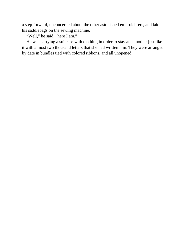a step forward, unconcerned about the other astonished embroiderers, and laid his saddlebags on the sewing machine.

"Well," he said, "here I am."

He was carrying a suitcase with clothing in order to stay and another just like it with almost two thousand letters that she had written him. They were arranged by date in bundles tied with colored ribbons, and all unopened.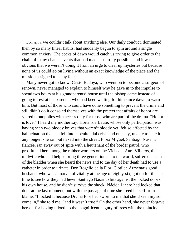FOR YEARS we couldn't talk about anything else. Our daily conduct, dominated then by so many linear habits, had suddenly begun to spin around a single common anxiety. The cocks of dawn would catch us trying to give order to the chain of many chance events that had made absurdity possible, and it was obvious that we weren't doing it from an urge to clear up mysteries but because none of us could go on living without an exact knowledge of the place and the mission assigned to us by fate.

Many never got to know. Cristo Bedoya, who went on to become a surgeon of renown, never managed to explain to himself why he gave in to the impulse to spend two hours at his grandparents' house until the bishop came instead of going to rest at his parents', who had been waiting for him since dawn to warn him. But most of those who could have done something to prevent the crime and still didn't do it consoled themselves with the pretext that affairs of honor are sacred monopolies with access only for those who are part of the drama. "Honor is love," I heard my mother say. Hortensia Baute, whose only participation was having seen two bloody knives that weren't bloody yet, felt so affected by the hallucination that she fell into a penitential crisis and one day, unable to take it any longer, she ran out naked into the street. Flora Miguel, Santiago Nasar's fiancée, ran away out of spite with a lieutenant of the border patrol, who prostituted her among the rubber workers on the Vichada. Aura Villeros, the midwife who had helped bring three generations into the world, suffered a spasm of the bladder when she heard the news and to the day of her death had to use a catheter in order to urinate. Don Rogelio de la Flor, Clotilde Armenta's good husband, who was a marvel of vitality at the age of eighty-six, got up for the last time to see how they had hewn Santiago Nasar to bits against the locked door of his own house, and he didn't survive the shock. Plácida Linero had locked that door at the last moment, but with the passage of time she freed herself from blame. "I locked it because Divina Flor had sworn to me that she'd seen my son come in," she told me, "and it wasn't true." On the other hand, she never forgave herself for having mixed up the magnificent augury of trees with the unlucky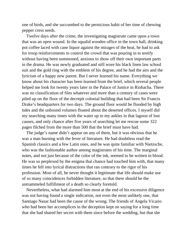one of birds, and she succumbed to the pernicious habit of her time of chewing pepper cress seeds.

Twelve days after the crime, the investigating magistrate came upon a town that was an open wound. In the squalid wooden office in the town hall, drinking pot coffee laced with cane liquor against the mirages of the heat, he had to ask for troop reinforcements to control the crowd that was pouring in to testify without having been summoned, anxious to show off their own important parts in the drama. He was newly graduated and still wore his black linen law school suit and the gold ring with the emblem of his degree, and he had the airs and the lyricism of a happy new parent. But I never learned his name. Everything we know about his character has been learned from the brief, which several people helped me look for twenty years later in the Palace of Justice in Riohacha. There was no classification of files whatever and more than a century of cases were piled up on the floor of the decrepit colonial building that had been Sir Francis Drake's headquarters for two days. The ground floor would be flooded by high tides and the unbound volumes floated about the deserted offices. I myself did my searching many times with the water up to my ankles in that lagoon of lost causes, and only chance after five years of searching let me rescue some 322 pages filched from the more than 500 that the brief must have had.

The judge's name didn't appear on any of them, but it was obvious that he was a man burning with the fever of literature. He had doubtless read the Spanish classics and a few Latin ones, and he was quite familiar with Nietzsche, who was the fashionable author among magistrates of his time. The marginal notes, and not just because of the color of the ink, seemed to be written in blood. He was so perplexed by the enigma that chance had touched him with, that many times he fell into lyrical distractions that ran contrary to the rigor of his profession. Most of all, he never thought it legitimate that life should make use of so many coincidences forbidden literature, so that there should be the untrammeled fulfillment of a death so clearly foretold.

Nevertheless, what had alarmed him most at the end of his excessive diligence was not having found a single indication, not even the most unlikely one, that Santiago Nasar had been the cause of the wrong. The friends of Angela Vicario who had been her accomplices in the deception kept on saying for a long time that she had shared her secret with them since before the wedding, but that she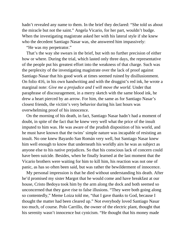hadn't revealed any name to them. In the brief they declared: "She told us about the miracle but not the saint." Angela Vicario, for her part, wouldn't budge. When the investigating magistrate asked her with his lateral style if she knew who the decedent Santiago Nasar was, she answered him impassively:

"He was my perpetrator."

That's the way she swears in the brief, but with no further precision of either how or where. During the trial, which lasted only three days, the representative of the people put his greatest effort into the weakness of that charge. Such was the perplexity of the investigating magistrate over the lack of proof against Santiago Nasar that his good work at times seemed ruined by disillusionment. On folio 416, in his own handwriting and with the druggist's red ink, he wrote a marginal note: *Give me a prejudice and I will move the world*. Under that paraphrase of discouragement, in a merry sketch with the same blood ink, he drew a heart pierced by an arrow. For him, the same as for Santiago Nasar's closest friends, the victim's very behavior during his last hours was overwhelming proof of his innocence.

On the morning of his death, in fact, Santiago Nasar hadn't had a moment of doubt, in spite of the fact that he knew very well what the price of the insult imputed to him was. He was aware of the prudish disposition of his world, and he must have known that the twins' simple nature was incapable of resisting an insult. No one knew Bayardo San Román very well, but Santiago Nasar knew him well enough to know that underneath his worldly airs he was as subject as anyone else to his native prejudices. So that his conscious lack of concern could have been suicide. Besides, when he finally learned at the last moment that the Vicario brothers were waiting for him to kill him, his reaction was not one of panic, as has so often been said, but was rather the bewilderment of innocence.

My personal impression is that he died without understanding his death. After he'd promised my sister Margot that he would come and have breakfast at our house, Cristo Bedoya took him by the arm along the dock and both seemed so unconcerned that they gave rise to false illusions. "They were both going along so contentedly," Meme Loiza told me, "that I gave thanks to God, because I thought the matter had been cleared up." Not everybody loved Santiago Nasar too much, of course. Polo Carrillo, the owner of the electric plant, thought that his serenity wasn't innocence but cynicism. "He thought that his money made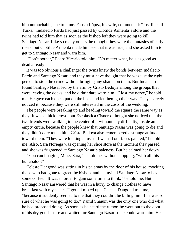him untouchable," he told me. Fausta López, his wife, commented: "Just like all Turks." Indalecio Pardo had just passed by Clotilde Armenta's store and the twins had told him that as soon as the bishop left they were going to kill Santiago Nasar. Like so many others, he thought they were the fantasies of early risers, but Clotilde Armenta made him see that it was true, and she asked him to get to Santiago Nasar and warn him.

"Don't bother," Pedro Vicario told him. "No matter what, he's as good as dead already."

It was too obvious a challenge: the twins knew the bonds between Indalecio Pardo and Santiago Nasar, and they must have thought that he was just the right person to stop the crime without bringing any shame on them. But Indalecio found Santiago Nasar led by the arm by Cristo Bedoya among the groups that were leaving the docks, and he didn't dare warn him. "I lost my nerve," he told me. He gave each one a pat on the back and let them go their way. They scarcely noticed it, because they were still interested in the costs of the wedding.

The people were breaking up and heading toward the square the same way as they. It was a thick crowd, but Escolástica Cisneros thought she noticed that the two friends were walking in the center of it without any difficulty, inside an empty circle, because the people knew that Santiago Nasar was going to die and they didn't dare touch him. Cristo Bedoya also remembered a strange attitude toward them. "They were looking at us as if we had our faces painted," he told me. Also, Sara Noriega was opening her shoe store at the moment they passed and she was frightened at Santiago Nasar's paleness. But he calmed her down.

"You can imagine, Missy Sara," he told her without stopping, "with all this hullabaloo!"

Celeste Dangond was sitting in his pajamas by the door of his house, mocking those who had gone to greet the bishop, and he invited Santiago Nasar to have some coffee. "It was in order to gain some time to think," he told me. But Santiago Nasar answered that he was in a hurry to change clothes to have breakfast with my sister. "I got all mixed up," Celeste Dangond told me, "because it suddenly seemed to me that they couldn't be killing him if he was so sure of what he was going to do." Yamil Shaium was the only one who did what he had proposed doing. As soon as he heard the rumor, he went out to the door of his dry goods store and waited for Santiago Nasar so he could warn him. He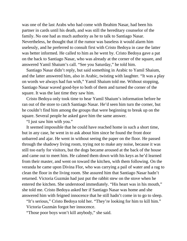was one of the last Arabs who had come with Ibrahim Nasar, had been his partner in cards until his death, and was still the hereditary counselor of the family. No one had as much authority as he to talk to Santiago Nasar. Nevertheless, he thought that if the rumor was baseless it would alarm him uselessly, and he preferred to consult first with Cristo Bedoya in case the latter was better informed. He called to him as he went by. Cristo Bedoya gave a pat on the back to Santiago Nasar, who was already at the corner of the square, and answered Yamil Shaium's call. "See you Saturday," he told him.

Santiago Nasar didn't reply, but said something in Arabic to Yamil Shaium, and the latter answered him, also in Arabic, twisting with laughter. "It was a play on words we always had fun with," Yamil Shaium told me. Without stopping, Santiago Nasar waved good-bye to both of them and turned the corner of the square. It was the last time they saw him.

Cristo Bedoya only took time to hear Yamil Shaium's information before he ran out of the store to catch Santiago Nasar. He'd seen him turn the corner, but he couldn't find him among the groups that were beginning to break up on the square. Several people he asked gave him the same answer.

"I just saw him with you."

It seemed impossible that he could have reached home in such a short time, but in any case, he went in to ask about him since he found the front door unbarred and ajar. He went in without seeing the paper on the floor. He passed through the shadowy living room, trying not to make any noise, because it was still too early for visitors, but the dogs became aroused at the back of the house and came out to meet him. He calmed them down with his keys as he'd learned from their master, and went on toward the kitchen, with them following. On the veranda he came upon Divina Flor, who was carrying a pail of water and a rag to clean the floor in the living room. She assured him that Santiago Nasar hadn't returned. Victoria Guzmán had just put the rabbit stew on the stove when he entered the kitchen. She understood immediately. "His heart was in his mouth," she told me. Cristo Bedoya asked her if Santiago Nasar was home and she answered him with feigned innocence that he still hadn't come in to go to sleep.

"It's serious," Cristo Bedoya told her. "They're looking for him to kill him." Victoria Guzmán forgot her innocence.

"Those poor boys won't kill anybody," she said.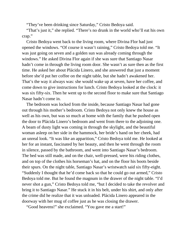"They've been drinking since Saturday," Cristo Bedoya said.

"That's just it," she replied. "There's no drunk in the world who'll eat his own crap."

Cristo Bedoya went back to the living room, where Divina Flor had just opened the windows. "Of course it wasn't raining," Cristo Bedoya told me. "It was just going on seven and a golden sun was already coming through the windows." He asked Divina Flor again if she was sure that Santiago Nasar hadn't come in through the living room door. She wasn't as sure then as the first time. He asked her about Plácida Linero, and she answered that just a moment before she'd put her coffee on the night table, but she hadn't awakened her. That's the way it always was: she would wake up at seven, have her coffee, and come down to give instructions for lunch. Cristo Bedoya looked at the clock: it was six fifty-six. Then he went up to the second floor to make sure that Santiago Nasar hadn't come in.

The bedroom was locked from the inside, because Santiago Nasar had gone out through his mother's bedroom. Cristo Bedoya not only knew the house as well as his own, but was so much at home with the family that he pushed open the door to Plácida Linero's bedroom and went from there to the adjoining one. A beam of dusty light was coming in through the skylight, and the beautiful woman asleep on her side in the hammock, her bride's hand on her cheek, had an unreal look. "It was like an apparition," Cristo Bedoya told me. He looked at her for an instant, fascinated by her beauty, and then he went through the room in silence, passed by the bathroom, and went into Santiago Nasar's bedroom. The bed was still made, and on the chair, well-pressed, were his riding clothes, and on top of the clothes his horseman's hat, and on the floor his boots beside their spurs. On the night table, Santiago Nasar's wristwatch said six fifty-eight. "Suddenly I thought that he'd come back so that he could go out armed," Cristo Bedoya told me. But he found the magnum in the drawer of the night table. "I'd never shot a gun," Cristo Bedoya told me, "but I decided to take the revolver and bring it to Santiago Nasar." He stuck it in his belt, under his shirt, and only after the crime did he realize that it was unloaded. Plácida Linero appeared in the doorway with her mug of coffee just as he was closing the drawer.

"Good heavens!" she exclaimed. "You gave me a start!"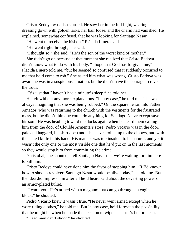Cristo Bedoya was also startled. He saw her in the full light, wearing a dressing gown with golden larks, her hair loose, and the charm had vanished. He explained, somewhat confused, that he was looking for Santiago Nasar.

"He went to receive the bishop," Plácida Linero said.

"He went right through," he said.

"I thought so," she said. "He's the son of the worst kind of mother."

She didn't go on because at that moment she realized that Cristo Bedoya didn't know what to do with his body. "I hope that God has forgiven me," Plácida Linero told me, "but he seemed so confused that it suddenly occurred to me that he'd come to rob." She asked him what was wrong. Cristo Bedoya was aware he was in a suspicious situation, but he didn't have the courage to reveal the truth.

"It's just that I haven't had a minute's sleep," he told her.

He left without any more explanations. "In any case," he told me, "she was always imagining that she was being robbed." On the square he ran into Father Amador, who was returning to the church with the vestments for the frustrated mass, but he didn't think he could do anything for Santiago Nasar except save his soul. He was heading toward the docks again when he heard them calling him from the door of Clotilde Armenta's store. Pedro Vicario was in the door, pale and haggard, his shirt open and his sleeves rolled up to the elbows, and with the naked knife in his hand. His manner was too insolent to be natural, and yet it wasn't the only one or the most visible one that he'd put on in the last moments so they would stop him from committing the crime.

"Cristóbal," he shouted, "tell Santiago Nasar that we're waiting for him here to kill him."

Cristo Bedoya could have done him the favor of stopping him. "If I'd known how to shoot a revolver, Santiago Nasar would be alive today," he told me. But the idea did impress him after all he'd heard said about the devasting power of an armor-plated bullet.

"I warn you. He's armed with a magnum that can go through an engine block," he shouted.

Pedro Vicario knew it wasn't true. "He never went armed except when he wore riding clothes," he told me. But in any case, he'd foreseen the possibility that he might be when he made the decision to wipe his sister's honor clean.

"Dead men can't shoot," he shouted.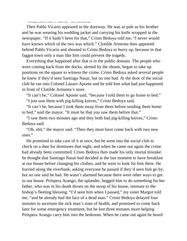ad men can't shoot," he shouted.

Then Pablo Vicario appeared in the doorway. He was as pale as his brother and he was wearing his wedding jacket and carrying his knife wrapped in the newspaper. "If it hadn't been for that," Cristo Bedoya told me, "I never would have known which of the two was which." Clotilde Armenta then appeared behind Pablo Vicario and shouted to Cristo Bedoya to hurry up, because in that faggot town only a man like him could prevent the tragedy.

Everything that happened after that is in the public domain. The people who were coming back from the docks, alerted by the shouts, began to take up positions on the square to witness the crime. Cristo Bedoya asked several people he knew if they'd seen Santiago Nasar, but no one had. At the door of the social club he ran into Colonel Lázaro Aponte and he told him what had just happened in front of Clotilde Armenta's store.

"It can't be," Colonel Aponte said, "because I told them to go home to bed."

"I just saw them with pig-killing knives," Cristo Bedoya said.

"It can't be, because I took them away from them before sending them home to bed," said the mayor. "It must be that you saw them before that."

"I saw them two minutes ago and they both had pig-killing knives," Cristo Bedoya said.

"Oh, shit," the mayor said. "Then they must have come back with two new ones."

He promised to take care of it at once, but he went into the social club to check on a date for dominoes that night, and when he came out again the crime had already been committed. Cristo Bedoya then made his only mortal mistake: he thought that Santiago Nasar had decided at the last moment to have breakfast at our house before changing his clothes, and he went to look for him there. He hurried along the riverbank, asking everyone he passed if they'd seen him go by, but no one said he had. He wasn't alarmed because there were other ways to get to our house. Próspera Arango, the uplander, begged him to do something for her father, who was in his death throes on the stoop of his house, immune to the bishop's fleeting blessing. "I'd seen him when I passed," my sister Margot told me, "and he already had the face of a dead man." Cristo Bedoya delayed four minutes to ascertain the sick man's state of health, and promised to come back later for some emergency treatment, but he lost three minutes more helping Próspera Arango carry him into the bedroom. When he came out again he heard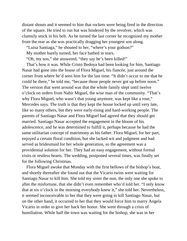distant shouts and it seemed to him that rockets were being fired in the direction of the square. He tried to run but was hindered by the revolver, which was clumsily stuck in his belt. As he turned the last corner he recognized my mother from the rear as she was practically dragging her youngest son along.

"Luisa Santiaga," he shouted to her, "where's your godson?" My mother barely turned, her face bathed in tears.

"Oh, my son," she answered, "they say he's been killed!"

That's how it was. While Cristo Bedoya had been looking for him, Santiago Nasar had gone into the house of Flora Miguel, his fiancée, just around the corner from where he'd seen him for the last time. "It didn't occur to me that he could be there," he told me, "because those people never got up before noon." The version that went around was that the whole family slept until twelve o'clock on orders from Nahir Miguel, the wise man of the community. "That's why Flora Miguel, who wasn't that young anymore, was kept like a rose," Mercedes says. The truth is that they kept the house locked up until very late, like so many others, but they were early-rising and hard-working people. The parents of Santiago Nasar and Flora Miguel had agreed that they should get married. Santiago Nasar accepted the engagement in the bloom of his adolescence, and he was determined to fulfill it, perhaps because he had the same utilitarian concept of matrimony as his father. Flora Miguel, for her part, enjoyed a certain floral condition, but she lacked wit and judgment and had served as bridesmaid for her whole generation, so the agreement was a providential solution for her. They had an easy engagement, without formal visits or restless hearts. The wedding, postponed several times, was finally set for the following Christmas.

Flora Miguel awoke that Monday with the first bellows of the bishop's boat, and shortly thereafter she found out that the Vicario twins were waiting for Santiago Nasar to kill him. She told my sister the nun, the only one she spoke to after the misfortune, that she didn't even remember who'd told her. "I only know that at six o'clock in the morning everybody knew it," she told her. Nevertheless, it seemed inconceivable to her that they were going to kill Santiago Nasar, but on the other hand, it occurred to her that they would force him to marry Angela Vicario in order to give her back her honor. She went through a crisis of humiliation. While half the town was waiting for the bishop, she was in her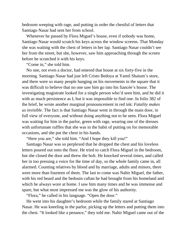bedroom weeping with rage, and putting in order the chestful of letters that Santiago Nasar had sent her from school.

Whenever he passed by Flora Miguel's house, even if nobody was home, Santiago Nasar would scratch his keys across the window screens. That Monday she was waiting with the chest of letters in her lap. Santiago Nasar couldn't see her from the street, but she, however, saw him approaching through the screen before he scratched it with his keys.

"Come in," she told him.

No one, not even a doctor, had entered that house at six forty-five in the morning. Santiago Nasar had just left Cristo Bedoya at Yamil Shaium's store, and there were so many people hanging on his movements in the square that it was difficult to believe that no one saw him go into his fiancée's house. The investigating magistrate looked for a single person who'd seen him, and he did it with as much persistence as I, but it was impossible to find one. In folio 382 of the brief, he wrote another marginal pronouncement in red ink: *Fatality makes us invisible*. The fact is that Santiago Nasar went in through the main door, in full view of everyone, and without doing anything not to be seen. Flora Miguel was waiting for him in the parlor, green with rage, wearing one of the dresses with unfortunate ruffles that she was in the habit of putting on for memorable occasions, and she put the chest in his hands.

"Here you are," she told him. "And I hope they kill you!"

Santiago Nasar was so perplexed that he dropped the chest and his loveless letters poured out onto the floor. He tried to catch Flora Miguel in the bedroom, but she closed the door and threw the bolt. He knocked several times, and called her in too pressing a voice for the time of day, so the whole family came in, all alarmed. Counting relatives by blood and by marriage, adults and minors, there were more than fourteen of them. The last to come was Nahir Miguel, the father, with his red beard and the bedouin caftan he had brought from his homeland and which he always wore at home. I saw him many times and he was immense and spare, but what most impressed me was the glow of his authority.

"Flora," he called in his language. "Open the door."

He went into his daughter's bedroom while the family stared at Santiago Nasar. He was kneeling in the parlor, picking up the letters and putting them into the chest. "It looked like a penance," they told me. Nahir Miguel came out of the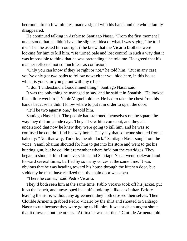bedroom after a few minutes, made a signal with his hand, and the whole family disappeared.

He continued talking in Arabic to Santiago Nasar. "From the first moment I understood that he didn't have the slightest idea of what I was saying," he told me. Then he asked him outright if he knew that the Vicario brothers were looking for him to kill him. "He turned pale and lost control in such a way that it was impossible to think that he was pretending," he told me. He agreed that his manner reflected not so much fear as confusion.

"Only you can know if they're right or not," he told him. "But in any case, you've only got two paths to follow now: either you hide here, in this house which is yours, or you go out with my rifle."

"I don't understand a Goddamned thing," Santiago Nasar said.

It was the only thing he managed to say, and he said it in Spanish. "He looked like a little wet bird," Nahir Miguel told me. He had to take the chest from his hands because he didn't know where to put it in order to open the door.

"It'll be two against one," he told him.

Santiago Nasar left. The people had stationed themselves on the square the way they did on parade days. They all saw him come out, and they all understood that now he knew they were going to kill him, and he was so confused he couldn't find his way home. They say that someone shouted from a balcony: "Not that way, Turk; by the old dock." Santiago Nasar sought out the voice. Yamil Shaium shouted for him to get into his store and went to get his hunting gun, but he couldn't remember where he'd put the cartridges. They began to shout at him from every side, and Santiago Nasar went backward and forward several times, baffled by so many voices at the same time. It was obvious that he was heading toward his house through the kitchen door, but suddenly he must have realized that the main door was open.

"There he comes," said Pedro Vicario.

They'd both seen him at the same time. Pablo Vicario took off his jacket, put it on the bench, and unwrapped his knife, holding it like a scimitar. Before leaving the store, without any agreement, they both crossed themselves. Then Clotilde Armenta grabbed Pedro Vicario by the shirt and shouted to Santiago Nasar to run because they were going to kill him. It was such an urgent shout that it drowned out the others. "At first he was startled," Clotilde Armenta told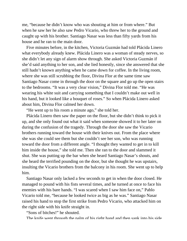me, "because he didn't know who was shouting at him or from where." But when he saw her he also saw Pedro Vicario, who threw her to the ground and caught up with his brother. Santiago Nasar was less than fifty yards from his house and he ran to the main door.

Five minutes before, in the kitchen, Victoria Guzmán had told Plácida Linero what everybody already knew. Plácida Linero was a woman of steady nerves, so she didn't let any sign of alarm show through. She asked Victoria Guzmán if she'd said anything to her son, and she lied honestly, since she answered that she still hadn't known anything when he came down for coffee. In the living room, where she was still scrubbing the floor, Divina Flor at the same time saw Santiago Nasar come in through the door on the square and go up the open stairs to the bedrooms. "It was a very clear vision," Divina Flor told me. "He was wearing his white suit and carrying something that I couldn't make out well in his hand, but it looked like a bouquet of roses." So when Plácida Linero asked about him, Divina Flor calmed her down.

"He went up to his room a minute ago," she told her.

Plácida Linero then saw the paper on the floor, but she didn't think to pick it up, and she only found out what it said when someone showed it to her later on during the confusion of the tragedy. Through the door she saw the Vicario brothers running toward the house with their knives out. From the place where she was she could see them but she couldn't see her son, who was running toward the door from a different angle. "I thought they wanted to get in to kill him inside the house," she told me. Then she ran to the door and slammed it shut. She was putting up the bar when she heard Santiago Nasar's shouts, and she heard the terrified pounding on the door, but she thought he was upstairs, insulting the Vicario brothers from the balcony in his room. She went up to help him.

Santiago Nasar only lacked a few seconds to get in when the door closed. He managed to pound with his fists several times, and he turned at once to face his enemies with his bare hands. "I was scared when I saw him face on," Pablo Vicario told me, "because he looked twice as big as he was." Santiago Nasar raised his hand to stop the first strike from Pedro Vicario, who attacked him on the right side with his knife straight in.

"Sons of bitches!" he shouted.

The knife went through the palm of his right hand and then sank into his side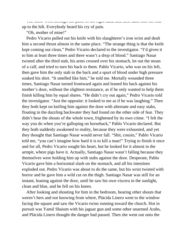The knife went through the palm of his right hand and then sank into his side up to the hilt. Everybody heard his cry of pain.

"Oh, mother of mine!"

Pedro Vicario pulled out his knife with his slaughterer's iron wrist and dealt him a second thrust almost in the same place. "The strange thing is that the knife kept coming out clean," Pedro Vicario declared to the investigator. "I'd given it to him at least three times and there wasn't a drop of blood." Santiago Nasar twisted after the third stab, his arms crossed over his stomach, let out the moan of a calf, and tried to turn his back to them. Pablo Vicario, who was on his left, then gave him the only stab in the back and a spurt of blood under high pressure soaked his shirt. "It smelled like him," he told me. Mortally wounded three times, Santiago Nasar turned frontward again and leaned his back against his mother's door, without the slightest resistance, as if he only wanted to help them finish killing him by equal shares. "He didn't cry out again," Pedro Vicario told the investigator. "Just the opposite: it looked to me as if he was laughing." Then they both kept on knifing him against the door with alternate and easy stabs, floating in the dazzling backwater they had found on the other side of fear. They didn't hear the shouts of the whole town, frightened by its own crime. "I felt the way you do when you're galloping on horseback," Pablo Vicario declared. But they both suddenly awakened to reality, because they were exhausted, and yet they thought that Santiago Nasar would never fall. "Shit, cousin," Pablo Vicario told me, "you can't imagine how hard it is to kill a man!" Trying to finish it once and for all, Pedro Vicario sought his heart, but he looked for it almost in the armpit, where pigs have it. Actually, Santiago Nasar wasn't falling because they themselves were holding him up with stabs against the door. Desperate, Pablo Vicario gave him a horizontal slash on the stomach, and all his intestines exploded out. Pedro Vicario was about to do the same, but his wrist twisted with horror and he gave him a wild cut on the thigh. Santiago Nasar was still for an instant, leaning against the door, until he saw his own viscera in the sunlight, clean and blue, and he fell on his knees.

After looking and shouting for him in the bedroom, hearing other shouts that weren't hers and not knowing from where, Plácida Linero went to the window facing the square and saw the Vicario twins running toward the church. Hot in pursuit was Yamil Shaium with his jaguar gun and some other unarmed Arabs, and Plácida Linero thought the danger had passed. Then she went out onto the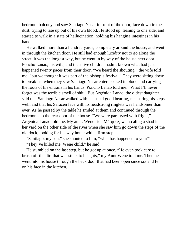bedroom balcony and saw Santiago Nasar in front of the door, face down in the dust, trying to rise up out of his own blood. He stood up, leaning to one side, and started to walk in a state of hallucination, holding his hanging intestines in his hands.

He walked more than a hundred yards, completely around the house, and went in through the kitchen door. He still had enough lucidity not to go along the street, it was the longest way, but he went in by way of the house next door. Poncho Lanao, his wife, and their five children hadn't known what had just happened twenty paces from their door. "We heard the shouting," the wife told me, "but we thought it was part of the bishop's festival." They were sitting down to breakfast when they saw Santiago Nasar enter, soaked in blood and carrying the roots of his entrails in his hands. Poncho Lanao told me: "What I'll never forget was the terrible smell of shit." But Argénida Lanao, the oldest daughter, said that Santiago Nasar walked with his usual good bearing, measuring his steps well, and that his Saracen face with its headstrong ringlets was handsomer than ever. As he passed by the table he smiled at them and continued through the bedrooms to the rear door of the house. "We were paralyzed with fright," Argénida Lanao told me. My aunt, Wenefrida Márquez, was scaling a shad in her yard on the other side of the river when she saw him go down the steps of the old dock, looking for his way home with a firm step.

"Santiago, my son," she shouted to him, "what has happened to you?" "They've killed me, Wene child," he said.

He stumbled on the last step, but he got up at once. "He even took care to brush off the dirt that was stuck to his guts," my Aunt Wene told me. Then he went into his house through the back door that had been open since six and fell on his face in the kitchen.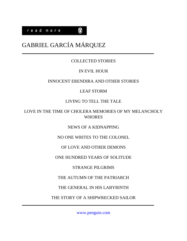#### COLLECTED STORIES

0

#### IN EVIL HOUR

#### INNOCENT ERENDIRA AND OTHER STORIES

### LEAF STORM

### LIVING TO TELL THE TALE

### LOVE IN THE TIME OF CHOLERA MEMORIES OF MY MELANCHOLY WHORES

### NEWS OF A KIDNAPPING

### NO ONE WRITES TO THE COLONEL

### OF LOVE AND OTHER DEMONS

#### ONE HUNDRED YEARS OF SOLITUDE

### STRANGE PILGRIMS

### THE AUTUMN OF THE PATRIARCH

### THE GENERAL IN HIS LABYRINTH

### THE STORY OF A SHIPWRECKED SAILOR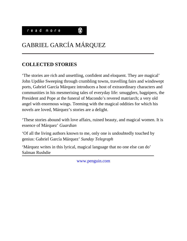Ö

### **COLLECTED STORIES**

'The stories are rich and unsettling, confident and eloquent. They are magical' John Updike Sweeping through crumbling towns, travelling fairs and windswept ports, Gabriel García Márquez introduces a host of extraordinary characters and communities in his mesmerising tales of everyday life: smugglers, bagpipers, the President and Pope at the funeral of Macondo's revered matriarch; a very old angel with enormous wings. Teeming with the magical oddities for which his novels are loved, Márquez's stories are a delight.

'These stories abound with love affairs, ruined beauty, and magical women. It is essence of Márquez' *Guardian*

'Of all the living authors known to me, only one is undoubtedly touched by genius: Gabriel García Márquez' *Sunday Telegraph*

'Márquez writes in this lyrical, magical language that no one else can do' Salman Rushdie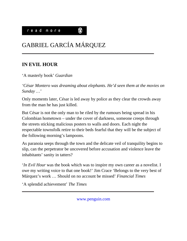Ô

### **IN EVIL HOUR**

'A masterly book' *Guardian*

*'César Montero was dreaming about elephants. He'd seen them at the movies on Sunday …'*

Only moments later, César is led away by police as they clear the crowds away from the man he has just killed.

But César is not the only man to be riled by the rumours being spread in his Colombian hometown – under the cover of darkness, someone creeps through the streets sticking malicious posters to walls and doors. Each night the respectable townsfolk retire to their beds fearful that they will be the subject of the following morning's lampoons.

As paranoia seeps through the town and the delicate veil of tranquility begins to slip, can the perpetrator be uncovered before accusation and violence leave the inhabitants' sanity in tatters?

'*In Evil Hour* was the book which was to inspire my own career as a novelist. I owe my writing voice to that one book!' Jim Crace 'Belongs to the very best of Márquez's work … Should on no account be missed' *Financial Times*

'A splendid achievement' *The Times*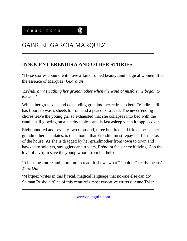

## **INNOCENT ERÉNDIRA AND OTHER STORIES**

Ô

'These stories abound with love affairs, ruined beauty, and magical women. It is the essence of Márquez' *Guardian*

*'Eréndira was bathing her grandmother when the wind of misfortune began to blow …'*

Whilst her grotesque and demanding grandmother retires to bed, Eréndira still has floors to wash, sheets to iron, and a peacock to feed. The never-ending chores leave the young girl so exhausted that she collapses into bed with the candle still glowing on a nearby table – and is fast asleep when it topples over …

Eight hundred and seventy-two thousand, three hundred and fifteen pesos, her grandmother calculates, is the amount that Eréndira must repay her for the loss of the house. As she is dragged by her grandmother from town to town and hawked to soldiers, smugglers and traders, Eréndira feels herself dying. Can the love of a virgin save the young whore from her hell?

'It becomes more and more fun to read. It shows what "fabulous" really means' *Time Out*

'Márquez writes in this lyrical, magical language that no-one else can do' Salman Rushdie 'One of this century's most evocative writers' Anne Tyler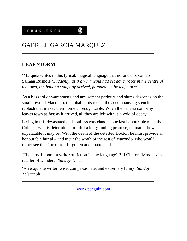Ô

### **LEAF STORM**

'Márquez writes in this lyrical, magical language that no-one else can do' Salman Rushdie *'Suddenly, as if a whirlwind had set down roots in the centre of the town, the banana company arrived, pursued by the leaf storm'*

As a blizzard of warehouses and amusement parlours and slums descends on the small town of Macondo, the inhabitants reel at the accompanying stench of rubbish that makes their home unrecognizable. When the banana company leaves town as fast as it arrived, all they are left with is a void of decay.

Living in this devastated and soulless wasteland is one last honourable man, the Colonel, who is determined to fulfil a longstanding promise, no matter how unpalatable it may be. With the death of the detested Doctor, he must provide an honourable burial – and incur the wrath of the rest of Macondo, who would rather see the Doctor rot, forgotten and unattended.

'The most important writer of fiction in any language' Bill Clinton 'Márquez is a retailer of wonders' *Sunday Times*

'An exquisite writer, wise, compassionate, and extremely funny' *Sunday Telegraph*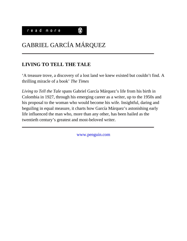

0

### **LIVING TO TELL THE TALE**

'A treasure trove, a discovery of a lost land we knew existed but couldn't find. A thrilling miracle of a book' *The Times*

*Living to Tell the Tale* spans Gabriel García Márquez's life from his birth in Colombia in 1927, through his emerging career as a writer, up to the 1950s and his proposal to the woman who would become his wife. Insightful, daring and beguiling in equal measure, it charts how García Márquez's astonishing early life influenced the man who, more than any other, has been hailed as the twentieth century's greatest and most-beloved writer.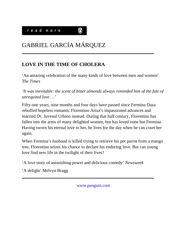Ô

### **LOVE IN THE TIME OF CHOLERA**

'An amazing celebration of the many kinds of love between men and women' *The Times*

*'It was inevitable: the scent of bitter almonds always reminded him of the fate of unrequited love …'*

Fifty-one years, nine months and four days have passed since Fermina Daza rebuffed hopeless romantic Florentino Ariza's impassioned advances and married Dr. Juvenal Urbino instead. During that half century, Florentino has fallen into the arms of many delighted women, but has loved none but Fermina. Having sworn his eternal love to her, he lives for the day when he can court her again.

When Fermina's husband is killed trying to retrieve his pet parrot from a mango tree, Florentino seizes his chance to declare his enduring love. But can young love find new life in the twilight of their lives?

'A love story of astonishing power and delicious comedy' *Newsweek*

'A delight' Melvyn Bragg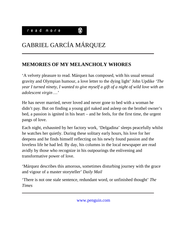

## **MEMORIES OF MY MELANCHOLY WHORES**

'A velvety pleasure to read. Márquez has composed, with his usual sensual gravity and Olympian humour, a love letter to the dying light' John Updike *'The year I turned ninety, I wanted to give myself a gift of a night of wild love with an adolescent virgin …'*

He has never married, never loved and never gone to bed with a woman he didn't pay. But on finding a young girl naked and asleep on the brothel owner's bed, a passion is ignited in his heart – and he feels, for the first time, the urgent pangs of love.

Each night, exhausted by her factory work, 'Delgadina' sleeps peacefully whilst he watches her quietly. During these solitary early hours, his love for her deepens and he finds himself reflecting on his newly found passion and the loveless life he had led. By day, his columns in the local newspaper are read avidly by those who recognize in his outpourings the enlivening and transformative power of love.

'Márquez describes this amorous, sometimes disturbing journey with the grace and vigour of a master storyteller' *Daily Mail*

'There is not one stale sentence, redundant word, or unfinished thought' *The Times*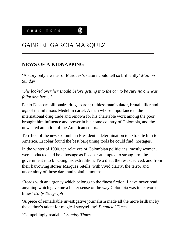### **NEWS OF A KIDNAPPING**

'A story only a writer of Márquez's stature could tell so brilliantly' *Mail on Sunday*

0

*'She looked over her should before getting into the car to be sure no one was following her …'*

Pablo Escobar: billionaire drugs baron; ruthless manipulator, brutal killer and *jefe* of the infamous Medellín cartel. A man whose importance in the international drug trade and renown for his charitable work among the poor brought him influence and power in his home country of Colombia, and the unwanted attention of the American courts.

Terrified of the new Colombian President's determination to extradite him to America, Escobar found the best bargaining tools he could find: hostages.

In the winter of 1990, ten relatives of Colombian politicians, mostly women, were abducted and held hostage as Escobar attempted to strong-arm the government into blocking his extradition. Two died, the rest survived, and from their harrowing stories Márquez retells, with vivid clarity, the terror and uncertainty of those dark and volatile months.

'Reads with an urgency which belongs to the finest fiction. I have never read anything which gave me a better sense of the way Colombia was in its worst times' *Daily Telegraph*

'A piece of remarkable investigative journalism made all the more brilliant by the author's talent for magical storytelling' *Financial Times*

'Compellingly readable' *Sunday Times*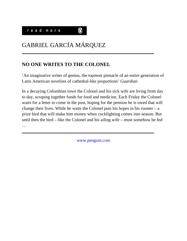

## **NO ONE WRITES TO THE COLONEL**

'An imaginative writer of genius, the topmost pinnacle of an entire generation of Latin American novelists of cathedral-like proportions' *Guardian*

In a decaying Colombian town the Colonel and his sick wife are living from day to day, scraping together funds for food and medicine. Each Friday the Colonel waits for a letter to come in the post, hoping for the pension he is owed that will change their lives. While he waits the Colonel puts his hopes in his rooster  $-$  a prize bird that will make him money when cockfighting comes into season. But until then the bird – like the Colonel and his ailing wife – must somehow be fed …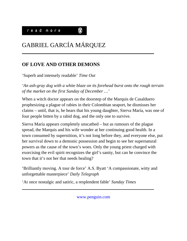

Ô

### **OF LOVE AND OTHER DEMONS**

'Superb and intensely readable' *Time Out*

*'An ash-gray dog with a white blaze on its forehead burst onto the rough terrain of the market on the first Sunday of December …'*

When a witch doctor appears on the doorstep of the Marquis de Casalduero prophesizing a plague of rabies in their Colombian seaport, he dismisses her claims – until, that is, he hears that his young daughter, Sierva María, was one of four people bitten by a rabid dog, and the only one to survive.

Sierva María appears completely unscathed – but as rumours of the plague spread, the Marquis and his wife wonder at her continuing good health. In a town consumed by superstition, it's not long before they, and everyone else, put her survival down to a demonic possession and begin to see her supernatural powers as the cause of the town's woes. Only the young priest charged with exorcising the evil spirit recognizes the girl's sanity, but can he convince the town that it's not her that needs healing?

'Brilliantly moving. A tour de force' A.S. Byatt 'A compassionate, witty and unforgettable masterpiece' *Daily Telegraph*

'At once nostalgic and satiric, a resplendent fable' *Sunday Times*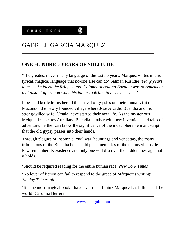

Ô

## **ONE HUNDRED YEARS OF SOLITUDE**

'The greatest novel in any language of the last 50 years. Márquez writes in this lyrical, magical language that no-one else can do' Salman Rushdie *'Many years later, as he faced the firing squad, Colonel Aureliano Buendía was to remember that distant afternoon when his father took him to discover ice …'*

Pipes and kettledrums herald the arrival of gypsies on their annual visit to Macondo, the newly founded village where José Arcadio Buendía and his strong-willed wife, Úrsula, have started their new life. As the mysterious Melquíades excites Aureliano Buendía's father with new inventions and tales of adventure, neither can know the significance of the indecipherable manuscript that the old gypsy passes into their hands.

Through plagues of insomnia, civil war, hauntings and vendettas, the many tribulations of the Buendía household push memories of the manuscript aside. Few remember its existence and only one will discover the hidden message that it holds…

'Should be required reading for the entire human race' *New York Times*

'No lover of fiction can fail to respond to the grace of Márquez's writing' *Sunday Telegraph*

'It's the most magical book I have ever read. I think Márquez has influenced the world' Carolina Herrera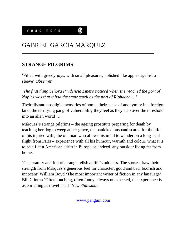Ô

### **STRANGE PILGRIMS**

'Filled with greedy joys, with small pleasures, polished like apples against a sleeve' *Observer*

*'The first thing Señora Prudencia Linero noticed when she reached the port of Naples was that it had the same smell as the port of Riohacha …'*

Their distant, nostalgic memories of home, their sense of anonymity in a foreign land, the terrifying pang of vulnerability they feel as they step over the threshold into an alien world …

Márquez's strange pilgrims – the ageing prostitute preparing for death by teaching her dog to weep at her grave, the panicked husband scared for the life of his injured wife, the old man who allows his mind to wander on a long-haul flight from Paris – experience with all his humour, warmth and colour, what it is to be a Latin American adrift in Europe or, indeed, any outsider living far from home.

'Celebratory and full of strange relish at life's oddness. The stories draw their strength from Márquez's generous feel for character, good and bad, boorish and innocent' William Boyd 'The most important writer of fiction in any language' Bill Clinton 'Often touching, often funny, always unexpected, the experience is as enriching as travel itself' *New Statesman*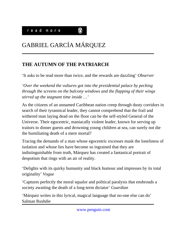

## **THE AUTUMN OF THE PATRIARCH**

'It asks to be read more than twice, and the rewards are dazzling' *Observer*

0

*'Over the weekend the vultures got into the presidential palace by pecking through the screens on the balcony windows and the flapping of their wings stirred up the stagnant time inside …'*

As the citizens of an unnamed Caribbean nation creep through dusty corridors in search of their tyrannical leader, they cannot comprehend that the frail and withered man laying dead on the floor can be the self-styled General of the Universe. Their egocentric, maniacally violent leader, known for serving up traitors to dinner guests and drowning young children at sea, can surely not die the humiliating death of a mere mortal?

Tracing the demands of a man whose egocentric excesses mask the loneliness of isolation and whose lies have become so ingrained that they are indistinguishable from truth, Márquez has created a fantastical portrait of despotism that rings with an air of reality.

'Delights with its quirky humanity and black humour and impresses by its total originality' *Vogue*

'Captures perfectly the moral squalor and political paralysis that enshrouds a society awaiting the death of a long-term dictator' *Guardian*

'Márquez writes in this lyrical, magical language that no-one else can do' Salman Rushdie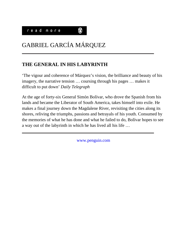

### **THE GENERAL IN HIS LABYRINTH**

'The vigour and coherence of Márquez's vision, the brilliance and beauty of his imagery, the narrative tension … coursing through his pages … makes it difficult to put down' *Daily Telegraph*

At the age of forty-six General Simón Bolívar, who drove the Spanish from his lands and became the Liberator of South America, takes himself into exile. He makes a final journey down the Magdalene River, revisiting the cities along its shores, reliving the triumphs, passions and betrayals of his youth. Consumed by the memories of what he has done and what he failed to do, Bolívar hopes to see a way out of the labyrinth in which he has lived all his life …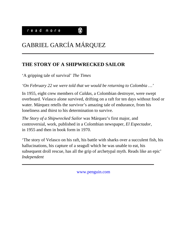

### **THE STORY OF A SHIPWRECKED SAILOR**

Ô

'A gripping tale of survival' *The Times*

*'On February 22 we were told that we would be returning to Colombia …'*

In 1955, eight crew members of *Caldas*, a Colombian destroyer, were swept overboard. Velasco alone survived, drifting on a raft for ten days without food or water. Márquez retells the survivor's amazing tale of endurance, from his loneliness and thirst to his determination to survive.

*The Story of a Shipwrecked Sailor* was Márquez's first major, and controversial, work, published in a Colombian newspaper, *El Espectador*, in 1955 and then in book form in 1970.

'The story of Velasco on his raft, his battle with sharks over a succulent fish, his hallucinations, his capture of a seagull which he was unable to eat, his subsequent droll rescue, has all the grip of archetypal myth. Reads like an epic' *Independent*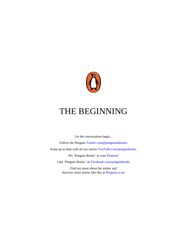

# THE BEGINNING

Let the conversation begin...

Follow the Penguin [Twitter.com@penguinukbooks](https://twitter.com/PenguinUKBooks) Keep up-to-date with all our stories [YouTube.com/penguinbooks](http://youtube.com/penguinbooks) Pin 'Penguin Books' to your [Pinterest](http://pinterest.com/penguinukbooks/) Like 'Penguin Books' on [Facebook.com/penguinbooks](http://www.facebook.com/penguinbooks) Find out more about the author and discover more stories like this at [Penguin.co.uk](http://www.penguin.co.uk)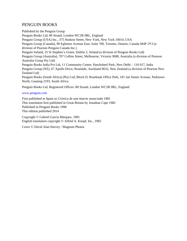#### PENGUIN BOOKS

Published by the Penguin Group Penguin Books Ltd, 80 Strand, London WC2R 0RL, England Penguin Group (USA) Inc., 375 Hudson Street, New York, New York 10014, USA Penguin Group (Canada), 90 Eglinton Avenue East, Suite 700, Toronto, Ontario, Canada M4P 2Y3 (a division of Pearson Penguin Canada Inc.) Penguin Ireland, 25 St Stephen's Green, Dublin 2, Ireland (a division of Penguin Books Ltd) Penguin Group (Australia), 707 Collins Street, Melbourne, Victoria 3008, Australia (a division of Pearson Australia Group Pty Ltd) Penguin Books India Pvt Ltd, 11 Community Centre, Panchsheel Park, New Delhi – 110 017, India Penguin Group (NZ), 67 Apollo Drive, Rosedale, Auckland 0632, New Zealand (a division of Pearson New Zealand Ltd) Penguin Books (South Africa) (Pty) Ltd, Block D, Rosebank Office Park, 181 Jan Smuts Avenue, Parktown North, Gauteng 2193, South Africa

### Penguin Books Ltd, Registered Offices: 80 Strand, London WC2R 0RL, England

#### [www.penguin.com](http://www.penguin.com)

First published in Spain as *Crónica de una muerte anunciada* 1981 This translation first published in Great Britain by Jonathan Cape 1982 Published in Penguin Books 1996 This edition published 2014

Copyright © Gabriel García Márquez, 1981 English translation copyright © Alfred A. Knopf, Inc., 1982

Cover © David Alan Harvey / Magnum Photos